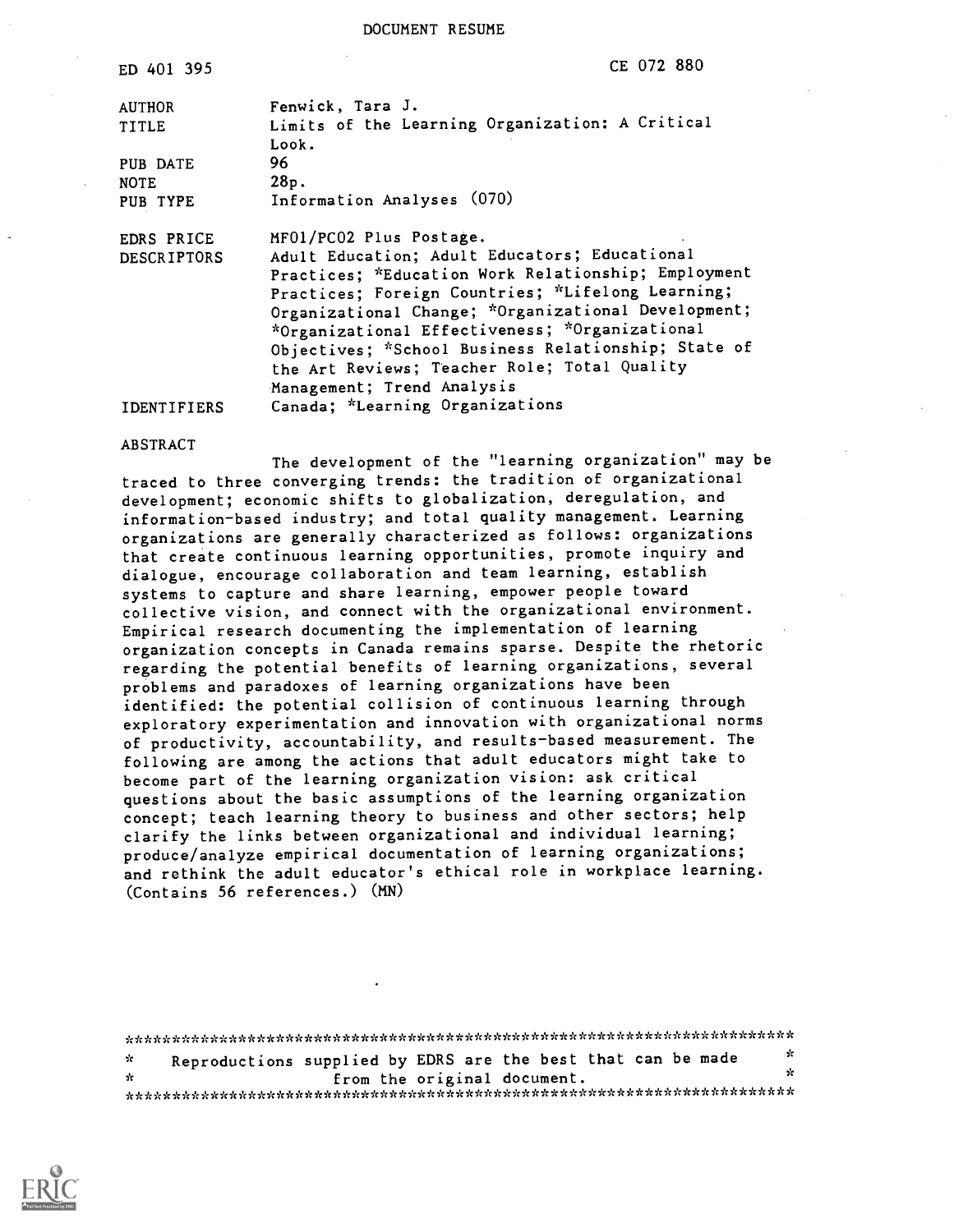DOCUMENT RESUME

| ED 401 395         | CE 072 880                                          |
|--------------------|-----------------------------------------------------|
| AUTHOR             | Fenwick, Tara J.                                    |
| <b>TITLE</b>       | Limits of the Learning Organization: A Critical     |
|                    | Look.                                               |
| PUB DATE           | 96.                                                 |
| <b>NOTE</b>        | 28p.                                                |
| PUB TYPE           | Information Analyses (070)                          |
| EDRS PRICE         | MF01/PC02 Plus Postage.                             |
| <b>DESCRIPTORS</b> | Adult Education; Adult Educators; Educational       |
|                    | Practices; *Education Work Relationship; Employment |
|                    | Practices; Foreign Countries; *Lifelong Learning;   |
|                    | Organizational Change; *Organizational Development; |
|                    | *Organizational Effectiveness; *Organizational      |
|                    | Objectives; *School Business Relationship; State of |
|                    | the Art Reviews; Teacher Role; Total Quality        |
|                    | Management; Trend Analysis                          |
| <b>IDENTIFIERS</b> | Canada; *Learning Organizations                     |

#### ABSTRACT

The development of the "learning organization" may be traced to three converging trends: the tradition of organizational development; economic shifts to globalization, deregulation, and information-based industry; and total quality management. Learning organizations are generally characterized as follows: organizations that create continuous learning opportunities, promote inquiry and dialogue, encourage collaboration and team learning, establish systems to capture and share learning, empower people toward collective vision, and connect with the organizational environment. Empirical research documenting the implementation of learning organization concepts in Canada remains sparse. Despite the rhetoric regarding the potential benefits of learning organizations, several problems and paradoxes of learning organizations have been identified: the potential collision of continuous learning through exploratory experimentation and innovation with organizational norms of productivity, accountability, and results-based measurement. The following are among the actions that adult educators might take to become part of the learning organization vision: ask critical questions about the basic assumptions of the learning organization concept; teach learning theory to business and other sectors; help clarify the links between organizational and individual learning; produce/analyze empirical documentation of learning organizations; and rethink the adult educator's ethical role in workplace learning. (Contains 56 references.) (MN)

\*\*\*\*\*\*\*\*\*\*\*\*\*\*\*\*\*\*\*\*\*\*\*\*\*\*\*\*\*\*\*\*\*\*\*\*\*\*\*\*\*\*\*\*\*\*\*\*\*\*\*\*\*\*\*\*\*\*\*\*\*\*\*\*\*\*\*\*\*\*\* \* Reproductions supplied by EDRS are the best that can be made \*  $\mathbf{r}$ from the original document. \*\*\*\*\*\*\*\*\*\*\*\*\*\*\*\*\*\*\*\*\*\*\*\*\*\*\*\*\*\*\*\*\*\*\*\*\*\*\*\*\*\*\*\*\*\*\*\*\*\*\*\*\*\*\*\*\*\*\*\*\*\*\*\*\*\*\*\*\*\*\*

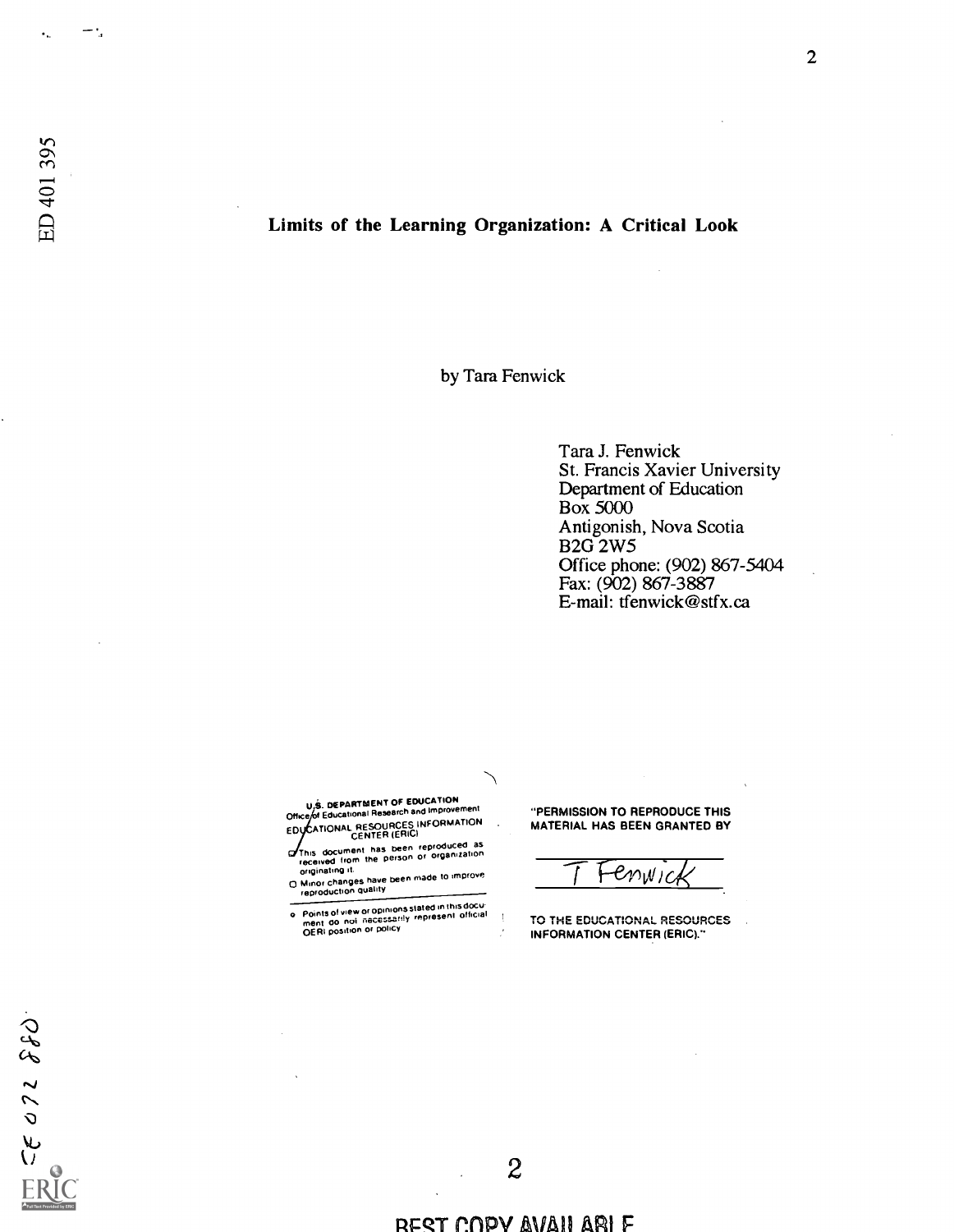# Limits of the Learning Organization: A Critical Look

by Tara Fenwick

Tara J. Fenwick St. Francis Xavier University Department of Education Box 5000 Antigonish, Nova Scotia B2G 2W5 Office phone: (902) 867-5404 Fax: (902) 867-3887 E-mail: tfenwick@stfx.ca

U.S. DEPARTMENT OF EDUCATION<br>Office of Educational Research and Improvement EDYCATIONAL RESOURCES INFORMATION M

This document nes been reproduced as received from the person or organization originating it.

on union changes have been made to improve<br>
O Minor changes have been made to improve<br>
end in the been made to improve

o Points of view or opinions slated in this docu-<br>ment do not inecessarily represent official<br>OERI position or policy

"PERMISSION TO REPRODUCE THIS MATERIAL HAS BEEN GRANTED BY

Fenwic

TO THE EDUCATIONAL RESOURCES INFORMATION CENTER (ERIC)."

#### REST COPY AVAII ARI F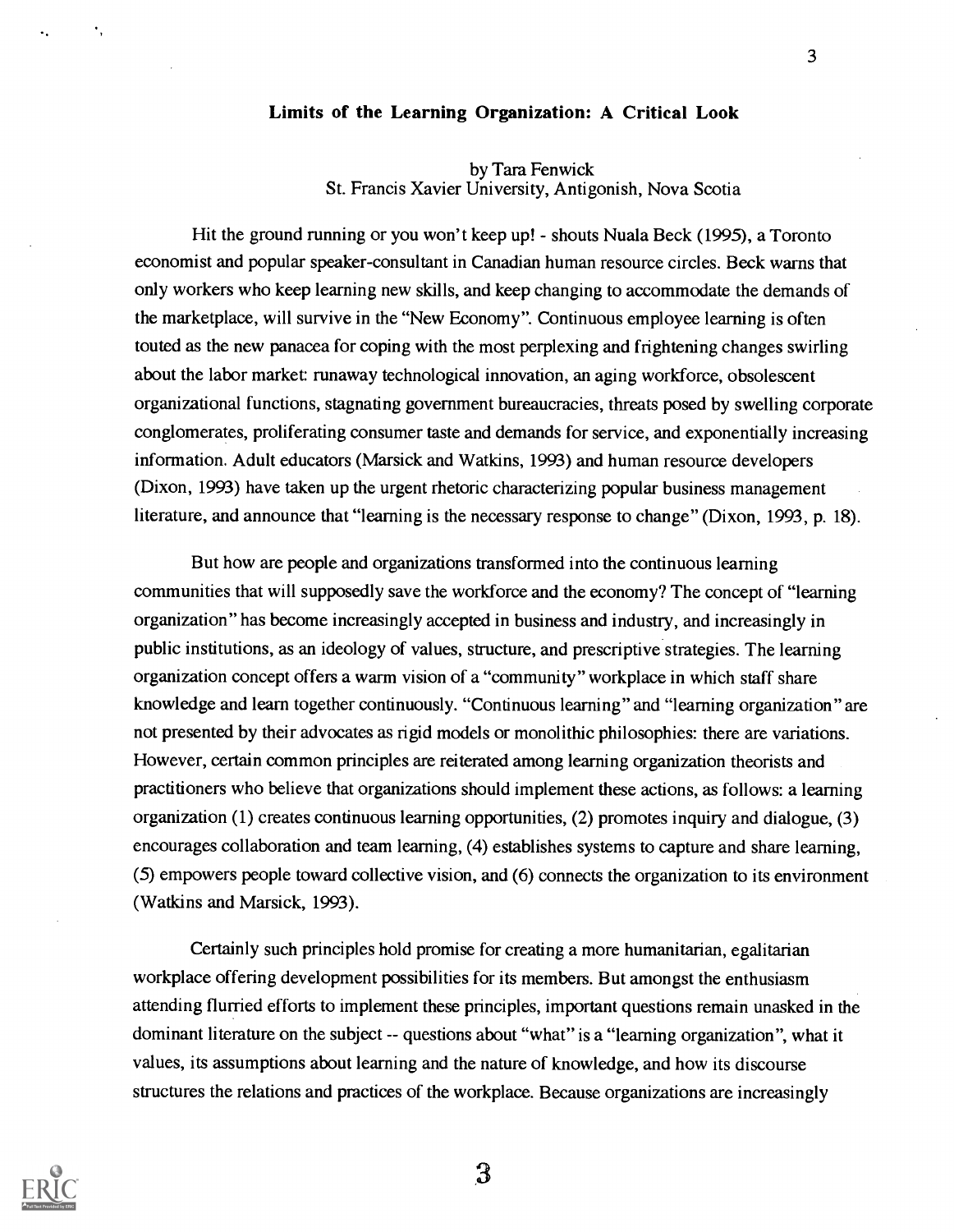# Limits of the Learning Organization: A Critical Look

### by Tara Fenwick St. Francis Xavier University, Antigonish, Nova Scotia

Hit the ground running or you won't keep up! - shouts Nuala Beck (1995), a Toronto economist and popular speaker-consultant in Canadian human resource circles. Beck warns that only workers who keep learning new skills, and keep changing to accommodate the demands of the marketplace, will survive in the "New Economy". Continuous employee learning is often touted as the new panacea for coping with the most perplexing and frightening changes swirling about the labor market: runaway technological innovation, an aging workforce, obsolescent organizational functions, stagnating government bureaucracies, threats posed by swelling corporate conglomerates, proliferating consumer taste and demands for service, and exponentially increasing information. Adult educators (Marsick and Watkins, 1993) and human resource developers (Dixon, 1993) have taken up the urgent rhetoric characterizing popular business management literature, and announce that "learning is the necessary response to change" (Dixon, 1993, p. 18).

But how are people and organizations transformed into the continuous learning communities that will supposedly save the workforce and the economy? The concept of "learning organization" has become increasingly accepted in business and industry, and increasingly in public institutions, as an ideology of values, structure, and prescriptive strategies. The learning organization concept offers a warm vision of a "community" workplace in which staff share knowledge and learn together continuously. "Continuous learning" and "learning organization" are not presented by their advocates as rigid models or monolithic philosophies: there are variations. However, certain common principles are reiterated among learning organization theorists and practitioners who believe that organizations should implement these actions, as follows: a learning organization (1) creates continuous learning opportunities, (2) promotes inquiry and dialogue, (3) encourages collaboration and team learning, (4) establishes systems to capture and share learning, (5) empowers people toward collective vision, and (6) connects the organization to its environment (Watkins and Marsick, 1993).

Certainly such principles hold promise for creating a more humanitarian, egalitarian workplace offering development possibilities for its members. But amongst the enthusiasm attending flurried efforts to implement these principles, important questions remain unasked in the dominant literature on the subject -- questions about "what" is a "learning organization", what it values, its assumptions about learning and the nature of knowledge, and how its discourse structures the relations and practices of the workplace. Because organizations are increasingly

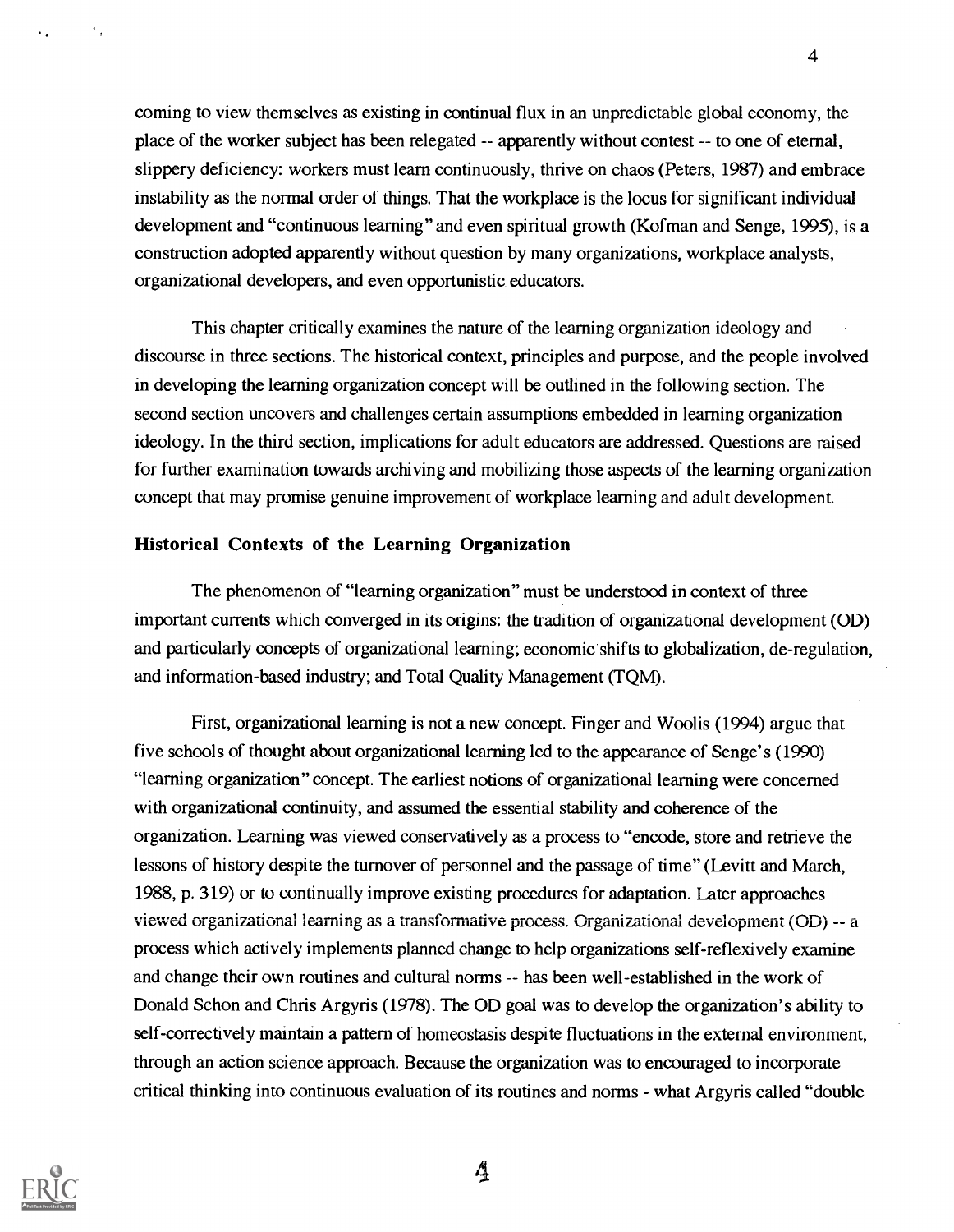coming to view themselves as existing in continual flux in an unpredictable global economy, the place of the worker subject has been relegated -- apparently without contest -- to one of eternal, slippery deficiency: workers must learn continuously, thrive on chaos (Peters, 1987) and embrace instability as the normal order of things. That the workplace is the locus for significant individual development and "continuous learning" and even spiritual growth (Kofman and Senge, 1995), is a construction adopted apparently without question by many organizations, workplace analysts, organizational developers, and even opportunistic educators.

4

This chapter critically examines the nature of the learning organization ideology and discourse in three sections. The historical context, principles and purpose, and the people involved in developing the learning organization concept will be outlined in the following section. The second section uncovers and challenges certain assumptions embedded in learning organization ideology. In the third section, implications for adult educators are addressed. Questions are raised for further examination towards archiving and mobilizing those aspects of the learning organization concept that may promise genuine improvement of workplace learning and adult development.

## Historical Contexts of the Learning Organization

The phenomenon of "learning organization" must be understood in context of three important currents which converged in its origins: the tradition of organizational development (OD) and particularly concepts of organizational learning; economic shifts to globalization, de-regulation, and information-based industry; and Total Quality Management (TQM).

First, organizational learning is not a new concept. Finger and Woolis (1994) argue that five schools of thought about organizational learning led to the appearance of Senge's (1990) "learning organization" concept. The earliest notions of organizational learning were concerned with organizational continuity, and assumed the essential stability and coherence of the organization. Learning was viewed conservatively as a process to "encode, store and retrieve the lessons of history despite the turnover of personnel and the passage of time" (Levitt and March, 1988, p. 319) or to continually improve existing procedures for adaptation. Later approaches viewed organizational learning as a transformative process. Organizational development (OD) -- a process which actively implements planned change to help organizations self-reflexively examine and change their own routines and cultural norms -- has been well-established in the work of Donald Schon and Chris Argyris (1978). The OD goal was to develop the organization's ability to self-correctively maintain a pattern of homeostasis despite fluctuations in the external environment, through an action science approach. Because the organization was to encouraged to incorporate critical thinking into continuous evaluation of its routines and norms - what Argyris called "double"

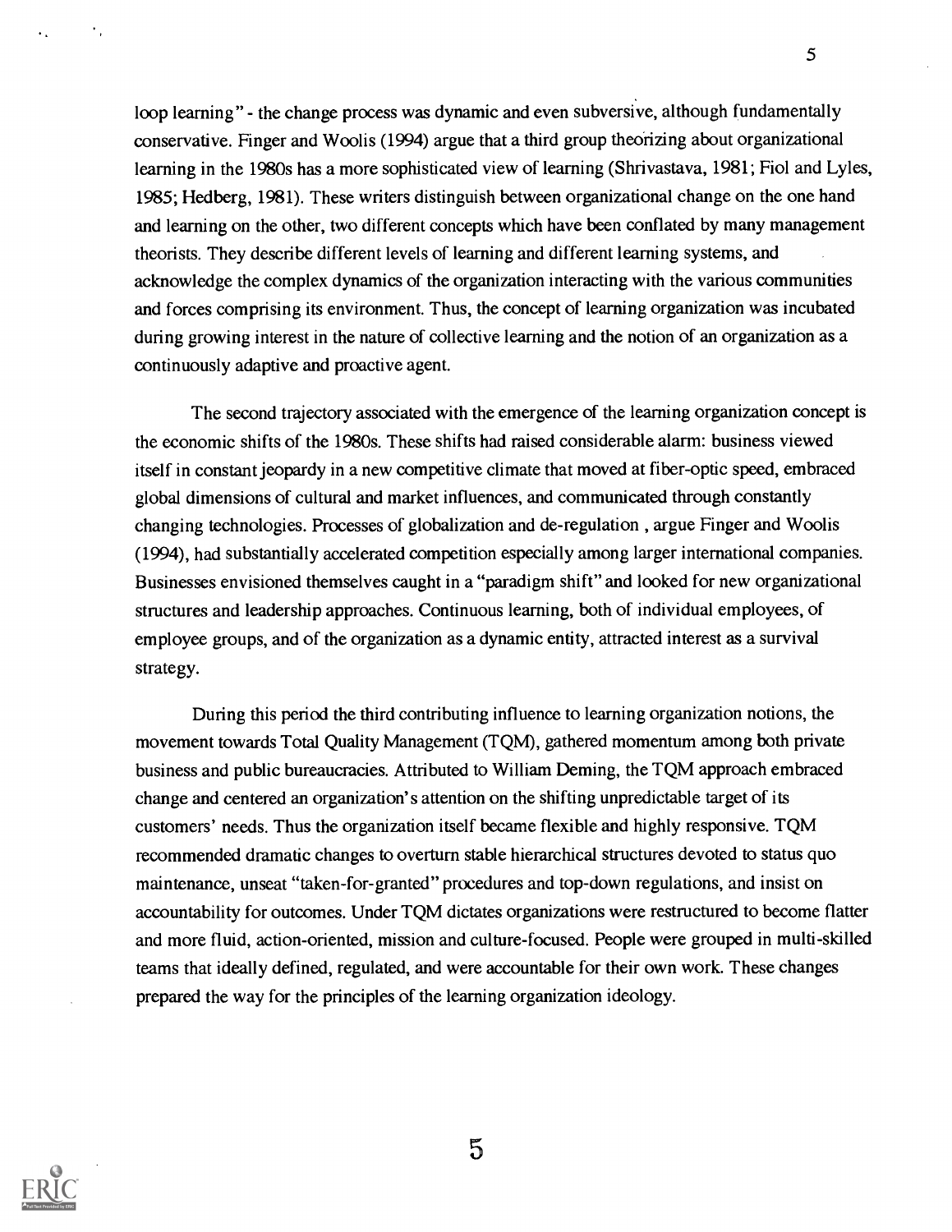loop learning" - the change process was dynamic and even subversive, although fundamentally conservative. Finger and Woolis (1994) argue that a third group theorizing about organizational learning in the 1980s has a more sophisticated view of learning (Shrivastava, 1981; Fiol and Lyles, 1985; Hedberg, 1981). These writers distinguish between organizational change on the one hand and learning on the other, two different concepts which have been conflated by many management theorists. They describe different levels of learning and different learning systems, and acknowledge the complex dynamics of the organization interacting with the various communities and forces comprising its environment. Thus, the concept of learning organization was incubated during growing interest in the nature of collective learning and the notion of an organization as a continuously adaptive and proactive agent.

5

The second trajectory associated with the emergence of the learning organization concept is the economic shifts of the 1980s. These shifts had raised considerable alarm: business viewed itself in constant jeopardy in a new competitive climate that moved at fiber-optic speed, embraced global dimensions of cultural and market influences, and communicated through constantly changing technologies. Processes of globalization and de-regulation , argue Finger and Woolis (1994), had substantially accelerated competition especially among larger international companies. Businesses envisioned themselves caught in a "paradigm shift" and looked for new organizational structures and leadership approaches. Continuous learning, both of individual employees, of employee groups, and of the organization as a dynamic entity, attracted interest as a survival strategy.

During this period the third contributing influence to learning organization notions, the movement towards Total Quality Management (TQM), gathered momentum among both private business and public bureaucracies. Attributed to William Deming, the TQM approach embraced change and centered an organization's attention on the shifting unpredictable target of its customers' needs. Thus the organization itself became flexible and highly responsive. TQM recommended dramatic changes to overturn stable hierarchical structures devoted to status quo maintenance, unseat "taken-for-granted" procedures and top-down regulations, and insist on accountability for outcomes. Under TQM dictates organizations were restructured to become flatter and more fluid, action-oriented, mission and culture-focused. People were grouped in multi-skilled teams that ideally defined, regulated, and were accountable for their own work. These changes prepared the way for the principles of the learning organization ideology.

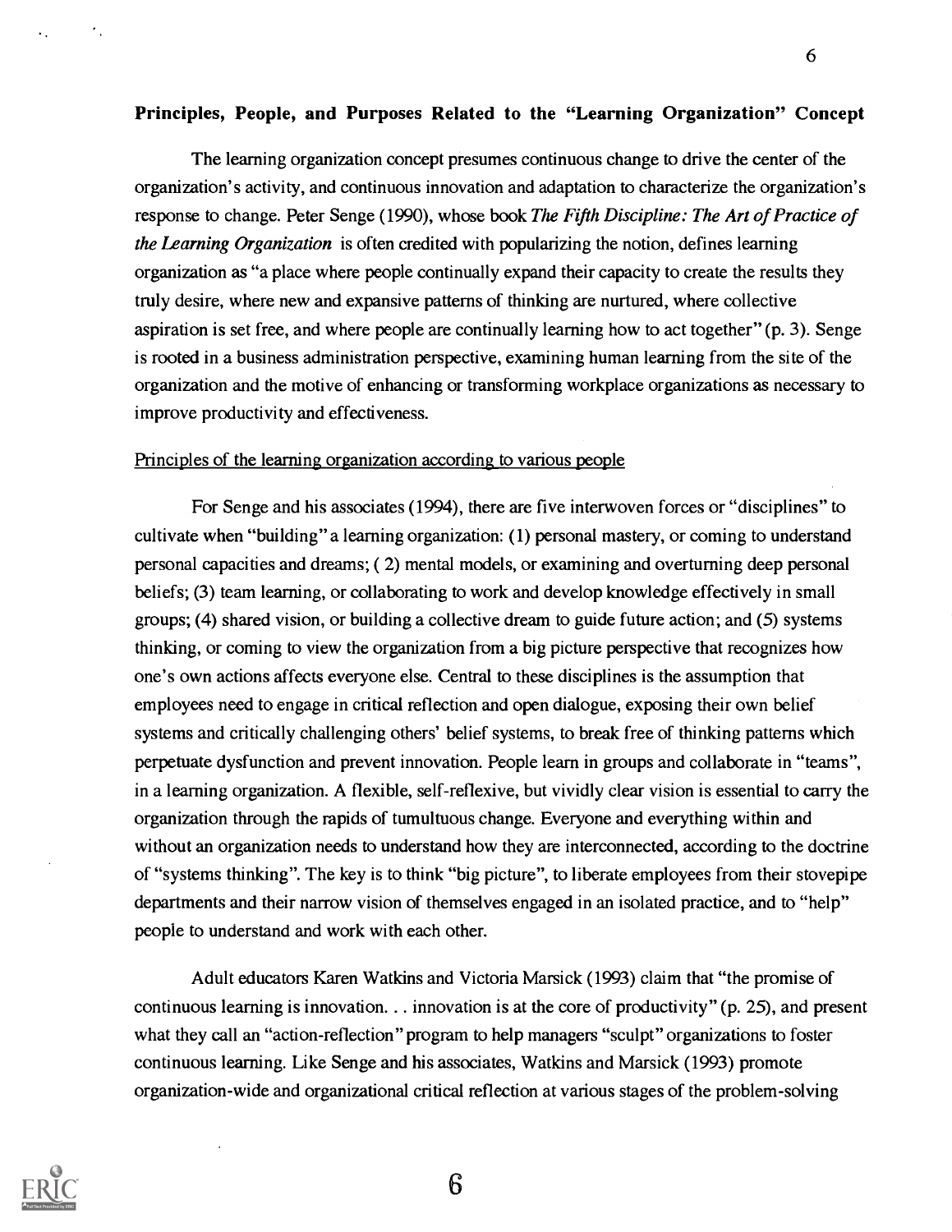6

### Principles, People, and Purposes Related to the "Learning Organization" Concept

The learning organization concept presumes continuous change to drive the center of the organization's activity, and continuous innovation and adaptation to characterize the organization's response to change. Peter Senge (1990), whose book The Fifth Discipline: The Art of Practice of the Learning Organization is often credited with popularizing the notion, defines learning organization as "a place where people continually expand their capacity to create the results they truly desire, where new and expansive patterns of thinking are nurtured, where collective aspiration is set free, and where people are continually learning how to act together" (p. 3). Senge is rooted in a business administration perspective, examining human learning from the site of the organization and the motive of enhancing or transforming workplace organizations as necessary to improve productivity and effectiveness.

#### Principles of the learning organization according to various people

For Senge and his associates (1994), there are five interwoven forces or "disciplines" to cultivate when "building" a learning organization: (1) personal mastery, or coming to understand personal capacities and dreams; ( 2) mental models, or examining and overturning deep personal beliefs; (3) team learning, or collaborating to work and develop knowledge effectively in small groups; (4) shared vision, or building a collective dream to guide future action; and (5) systems thinking, or coming to view the organization from a big picture perspective that recognizes how one's own actions affects everyone else. Central to these disciplines is the assumption that employees need to engage in critical reflection and open dialogue, exposing their own belief systems and critically challenging others' belief systems, to break free of thinking patterns which perpetuate dysfunction and prevent innovation. People learn in groups and collaborate in "teams", in a learning organization. A flexible, self-reflexive, but vividly clear vision is essential to carry the organization through the rapids of tumultuous change. Everyone and everything within and without an organization needs to understand how they are interconnected, according to the doctrine of "systems thinking". The key is to think "big picture", to liberate employees from their stovepipe departments and their narrow vision of themselves engaged in an isolated practice, and to "help" people to understand and work with each other.

Adult educators Karen Watkins and Victoria Marsick (1993) claim that "the promise of continuous learning is innovation. . . innovation is at the core of productivity" (p. 25), and present what they call an "action-reflection" program to help managers "sculpt" organizations to foster continuous learning. Like Senge and his associates, Watkins and Marsick (1993) promote organization-wide and organizational critical reflection at various stages of the problem-solving

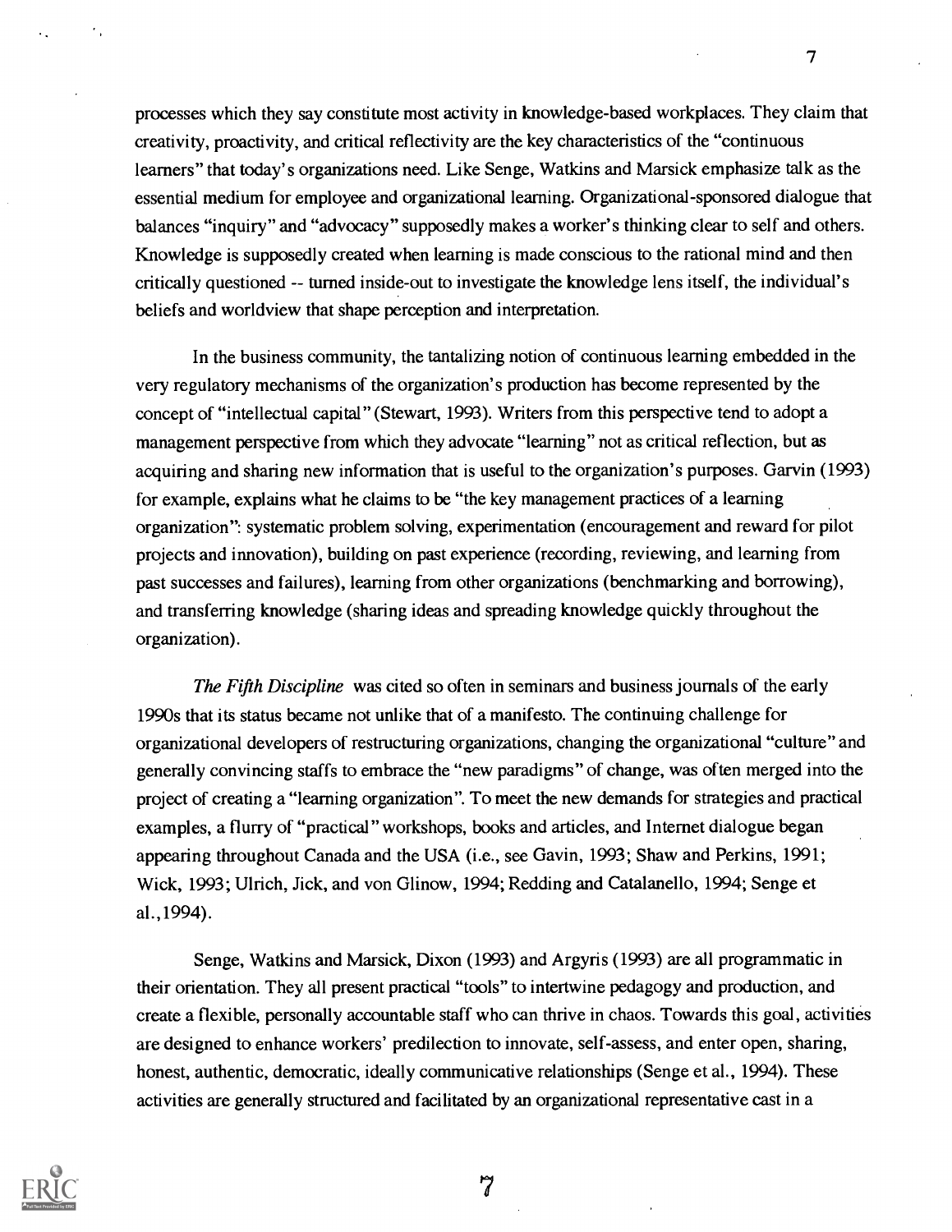processes which they say constitute most activity in knowledge-based workplaces. They claim that creativity, proactivity, and critical reflectivity are the key characteristics of the "continuous learners" that today's organizations need. Like Senge, Watkins and Marsick emphasize talk as the essential medium for employee and organizational learning. Organizational-sponsored dialogue that balances "inquiry" and "advocacy" supposedly makes a worker's thinking clear to self and others. Knowledge is supposedly created when learning is made conscious to the rational mind and then critically questioned -- turned inside-out to investigate the knowledge lens itself, the individual's beliefs and worldview that shape perception and interpretation.

In the business community, the tantalizing notion of continuous learning embedded in the very regulatory mechanisms of the organization's production has become represented by the concept of "intellectual capital" (Stewart, 1993). Writers from this perspective tend to adopt a management perspective from which they advocate "learning" not as critical reflection, but as acquiring and sharing new information that is useful to the organization's purposes. Garvin (1993) for example, explains what he claims to be "the key management practices of a learning organization": systematic problem solving, experimentation (encouragement and reward for pilot projects and innovation), building on past experience (recording, reviewing, and learning from past successes and failures), learning from other organizations (benchmarking and borrowing), and transferring knowledge (sharing ideas and spreading knowledge quickly throughout the organization).

The Fifth Discipline was cited so often in seminars and business journals of the early 1990s that its status became not unlike that of a manifesto. The continuing challenge for organizational developers of restructuring organizations, changing the organizational "culture" and generally convincing staffs to embrace the "new paradigms" of change, was often merged into the project of creating a "learning organization". To meet the new demands for strategies and practical examples, a flurry of "practical" workshops, books and articles, and Internet dialogue began appearing throughout Canada and the USA (i.e., see Gavin, 1993; Shaw and Perkins, 1991; Wick, 1993; Ulrich, Jick, and von Glinow, 1994; Redding and Catalanello, 1994; Senge et al.,1994).

Senge, Watkins and Marsick, Dixon (1993) and Argyris (1993) are all programmatic in their orientation. They all present practical "tools" to intertwine pedagogy and production, and create a flexible, personally accountable staff who can thrive in chaos. Towards this goal, activities are designed to enhance workers' predilection to innovate, self-assess, and enter open, sharing, honest, authentic, democratic, ideally communicative relationships (Senge et al., 1994). These activities are generally structured and facilitated by an organizational representative cast in a

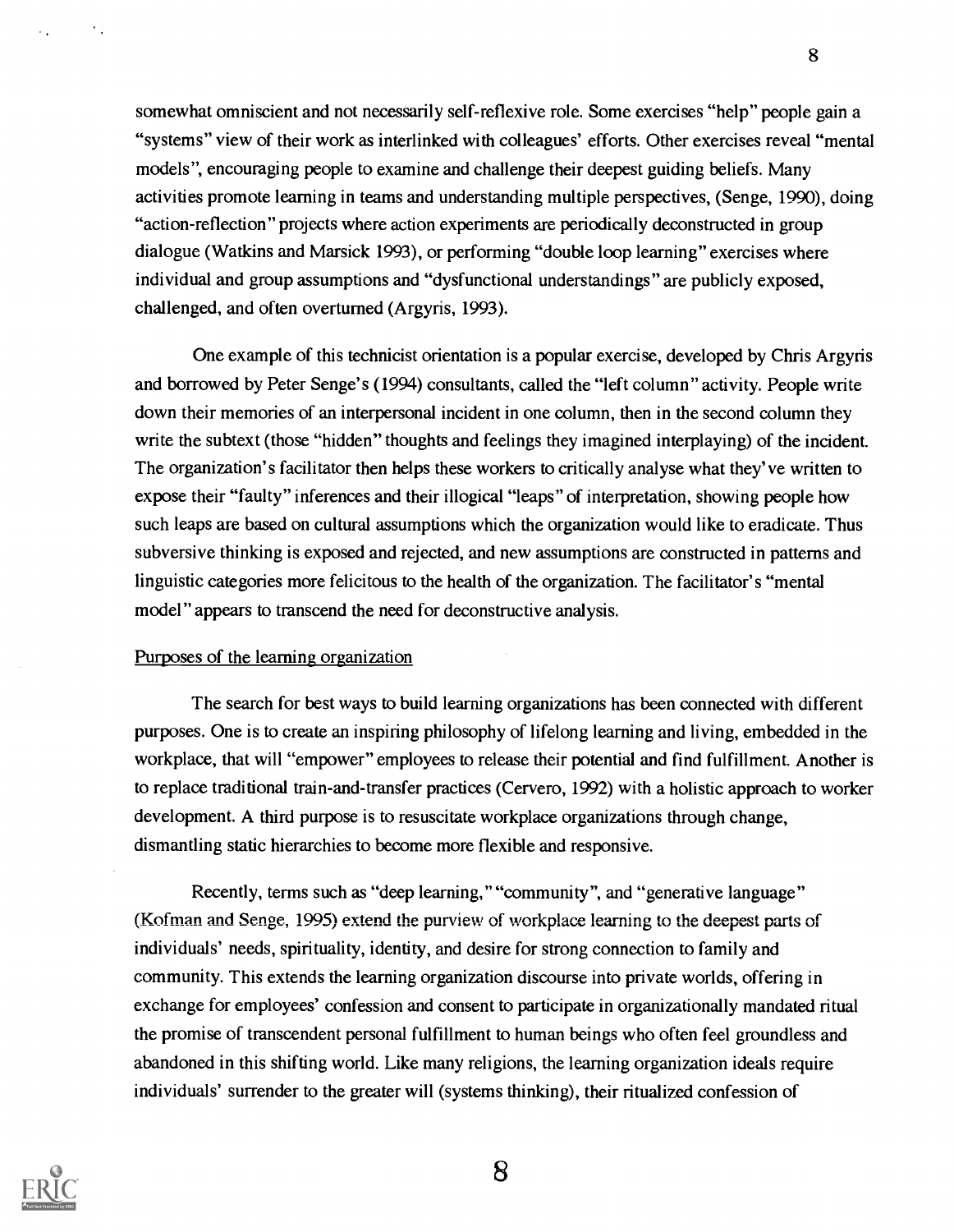somewhat omniscient and not necessarily self-reflexive role. Some exercises "help" people gain a "systems" view of their work as interlinked with colleagues' efforts. Other exercises reveal "mental models", encouraging people to examine and challenge their deepest guiding beliefs. Many activities promote learning in teams and understanding multiple perspectives, (Senge, 1990), doing "action-reflection" projects where action experiments are periodically deconstructed in group dialogue (Watkins and Marsick 1993), or performing "double loop learning" exercises where individual and group assumptions and "dysfunctional understandings" are publicly exposed, challenged, and often overturned (Argyris, 1993).

8

One example of this technicist orientation is a popular exercise, developed by Chris Argyris and borrowed by Peter Senge's (1994) consultants, called the "left column" activity. People write down their memories of an interpersonal incident in one column, then in the second column they write the subtext (those "hidden" thoughts and feelings they imagined interplaying) of the incident. The organization's facilitator then helps these workers to critically analyse what they've written to expose their "faulty" inferences and their illogical "leaps" of interpretation, showing people how such leaps are based on cultural assumptions which the organization would like to eradicate. Thus subversive thinking is exposed and rejected, and new assumptions are constructed in patterns and linguistic categories more felicitous to the health of the organization. The facilitator's "mental model" appears to transcend the need for deconstructive analysis.

### Purposes of the learning organization

The search for best ways to build learning organizations has been connected with different purposes. One is to create an inspiring philosophy of lifelong learning and living, embedded in the workplace, that will "empower" employees to release their potential and find fulfillment. Another is to replace traditional train-and-transfer practices (Cervero, 1992) with a holistic approach to worker development. A third purpose is to resuscitate workplace organizations through change, dismantling static hierarchies to become more flexible and responsive.

Recently, terms such as "deep learning," "community", and "generative language" (Kofman and Senge, 1995) extend the purview of workplace learning to the deepest parts of individuals' needs, spirituality, identity, and desire for strong connection to family and community. This extends the learning organization discourse into private worlds, offering in exchange for employees' confession and consent to participate in organizationally mandated ritual the promise of transcendent personal fulfillment to human beings who often feel groundless and abandoned in this shifting world. Like many religions, the learning organization ideals require individuals' surrender to the greater will (systems thinking), their ritualized confession of



 $\mathcal{L}_{\mathcal{A}}$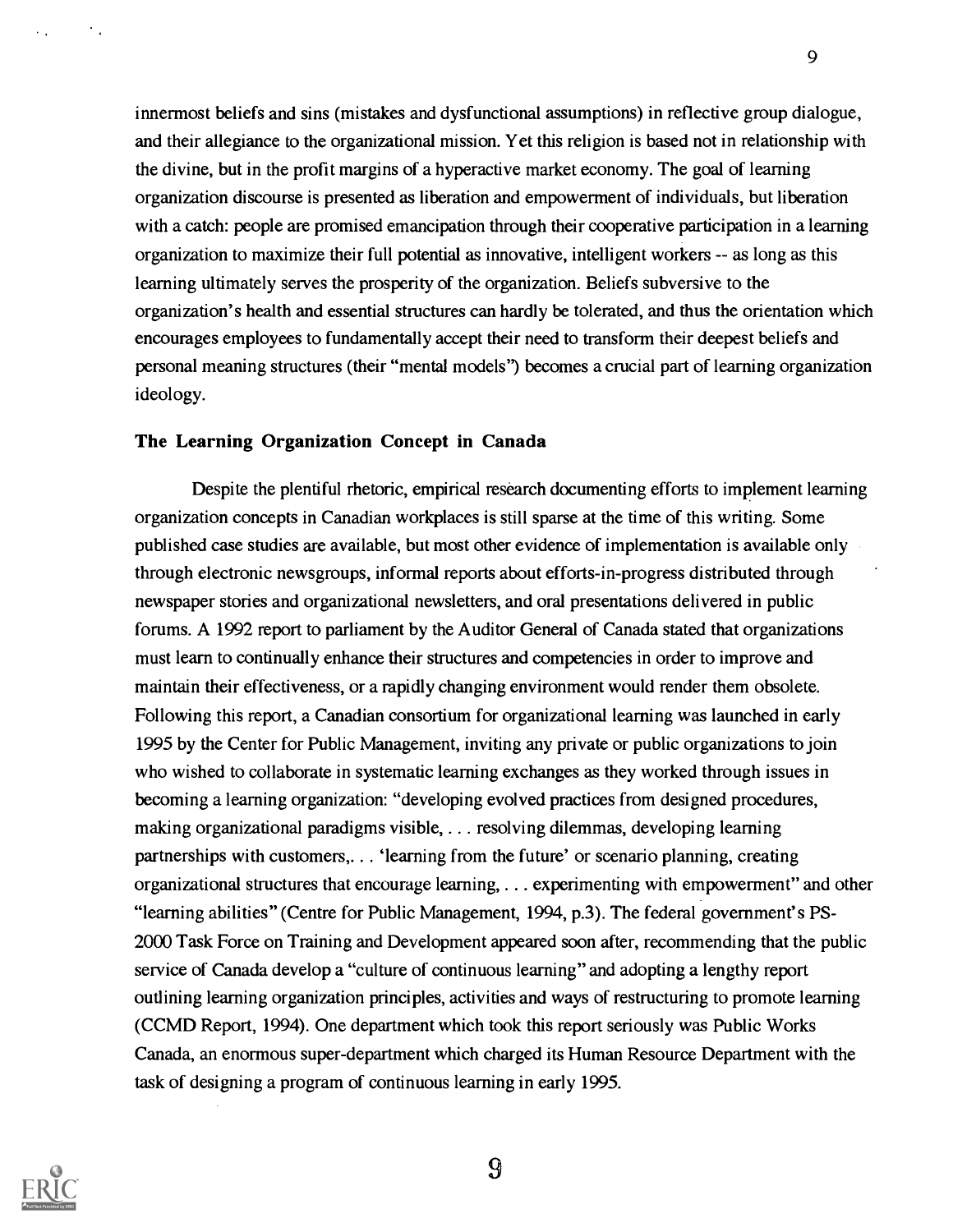innermost beliefs and sins (mistakes and dysfunctional assumptions) in reflective group dialogue, and their allegiance to the organizational mission. Yet this religion is based not in relationship with the divine, but in the profit margins of a hyperactive market economy. The goal of learning organization discourse is presented as liberation and empowerment of individuals, but liberation with a catch: people are promised emancipation through their cooperative participation in a learning organization to maximize their full potential as innovative, intelligent workers -- as long as this learning ultimately serves the prosperity of the organization. Beliefs subversive to the organization's health and essential structures can hardly be tolerated, and thus the orientation which encourages employees to fundamentally accept their need to transform their deepest beliefs and personal meaning structures (their "mental models") becomes a crucial part of learning organization ideology.

## The Learning Organization Concept in Canada

Despite the plentiful rhetoric, empirical research documenting efforts to implement learning organization concepts in Canadian workplaces is still sparse at the time of this writing. Some published case studies are available, but most other evidence of implementation is available only through electronic newsgroups, informal reports about efforts-in-progress distributed through newspaper stories and organizational newsletters, and oral presentations delivered in public forums. A 1992 report to parliament by the Auditor General of Canada stated that organizations must learn to continually enhance their structures and competencies in order to improve and maintain their effectiveness, or a rapidly changing environment would render them obsolete. Following this report, a Canadian consortium for organizational learning was launched in early 1995 by the Center for Public Management, inviting any private or public organizations to join who wished to collaborate in systematic learning exchanges as they worked through issues in becoming a learning organization: "developing evolved practices from designed procedures, making organizational paradigms visible, . . . resolving dilemmas, developing learning partnerships with customers,. . . 'learning from the future' or scenario planning, creating organizational structures that encourage learning, . . . experimenting with empowerment" and other "learning abilities" (Centre for Public Management, 1994, p.3). The federal government's PS-2000 Task Force on Training and Development appeared soon after, recommending that the public service of Canada develop a "culture of continuous learning" and adopting a lengthy report outlining learning organization principles, activities and ways of restructuring to promote learning (CCMD Report, 1994). One department which took this report seriously was Public Works Canada, an enormous super-department which charged its Human Resource Department with the task of designing a program of continuous learning in early 1995.



 $\epsilon_{\rm{in}}$ 

 $\boldsymbol{\Omega}$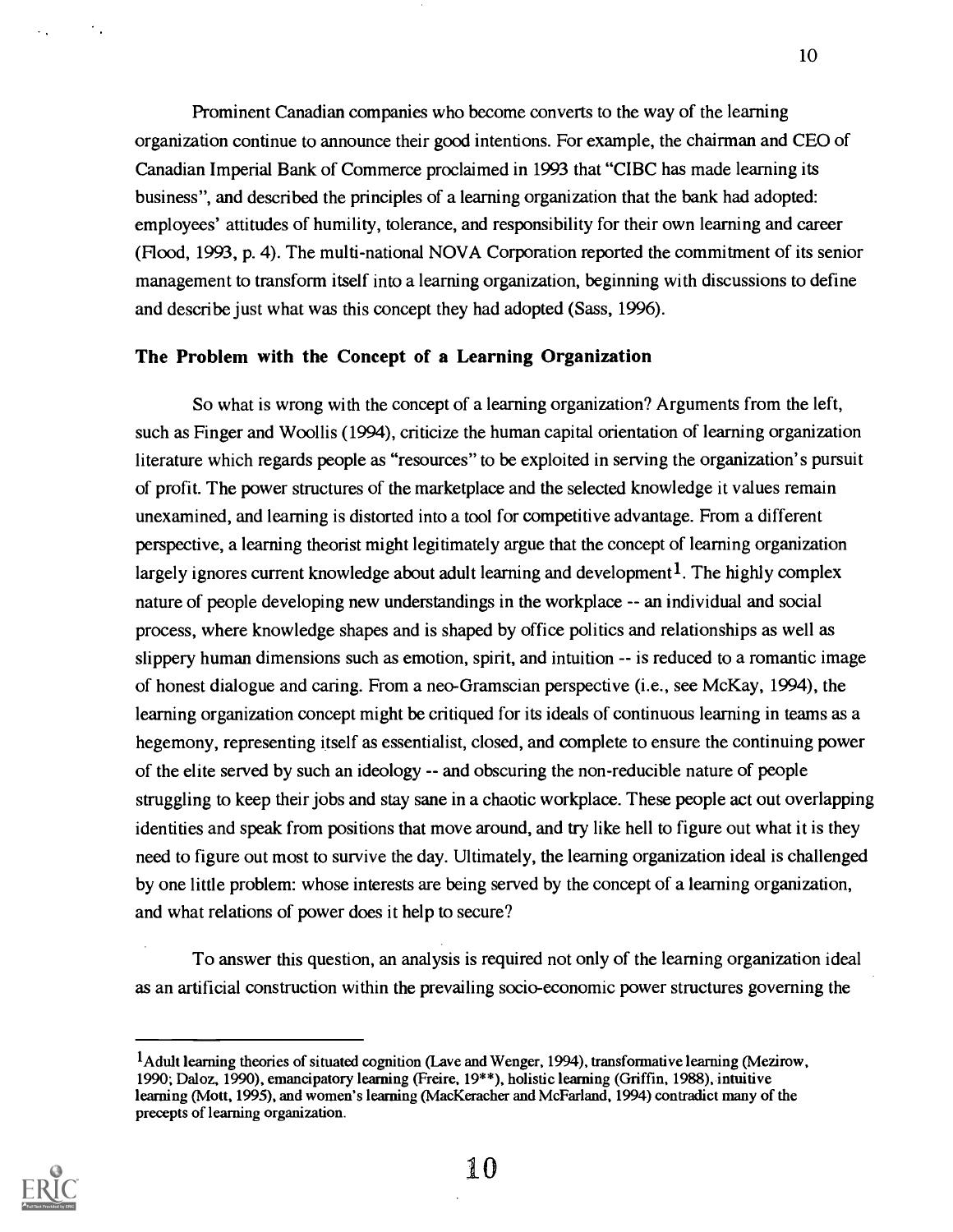Prominent Canadian companies who become converts to the way of the learning organization continue to announce their good intentions. For example, the chairman and CEO of Canadian Imperial Bank of Commerce proclaimed in 1993 that "CIBC has made learning its business", and described the principles of a learning organization that the bank had adopted: employees' attitudes of humility, tolerance, and responsibility for their own learning and career (Flood, 1993, p. 4). The multi-national NOVA Corporation reported the commitment of its senior management to transform itself into a learning organization, beginning with discussions to define and describe just what was this concept they had adopted (Sass, 1996).

### The Problem with the Concept of a Learning Organization

So what is wrong with the concept of a learning organization? Arguments from the left, such as Finger and Woollis (1994), criticize the human capital orientation of learning organization literature which regards people as "resources" to be exploited in serving the organization's pursuit of profit. The power structures of the marketplace and the selected knowledge it values remain unexamined, and learning is distorted into a tool for competitive advantage. From a different perspective, a learning theorist might legitimately argue that the concept of learning organization largely ignores current knowledge about adult learning and development<sup>1</sup>. The highly complex nature of people developing new understandings in the workplace -- an individual and social process, where knowledge shapes and is shaped by office politics and relationships as well as slippery human dimensions such as emotion, spirit, and intuition  $-$  is reduced to a romantic image of honest dialogue and caring. From a neo-Gramscian perspective (i.e., see McKay, 1994), the learning organization concept might be critiqued for its ideals of continuous learning in teams as a hegemony, representing itself as essentialist, closed, and complete to ensure the continuing power of the elite served by such an ideology -- and obscuring the non-reducible nature of people struggling to keep their jobs and stay sane in a chaotic workplace. These people act out overlapping identities and speak from positions that move around, and try like hell to figure out what it is they need to figure out most to survive the day. Ultimately, the learning organization ideal is challenged by one little problem: whose interests are being served by the concept of a learning organization, and what relations of power does it help to secure?

To answer this question, an analysis is required not only of the learning organization ideal as an artificial construction within the prevailing socio-economic power structures governing the



 $\bullet$  .

lAdult learning theories of situated cognition (Lave and Wenger, 1994), transformative learning (Mezirow, 1990; Daloz, 1990), emancipatory learning (Freire, 19\*\*), holistic learning (Griffin, 1988), intuitive learning (Mott, 1995), and women's learning (MacKeracher and McFarland, 1994) contradict many of the precepts of learning organization.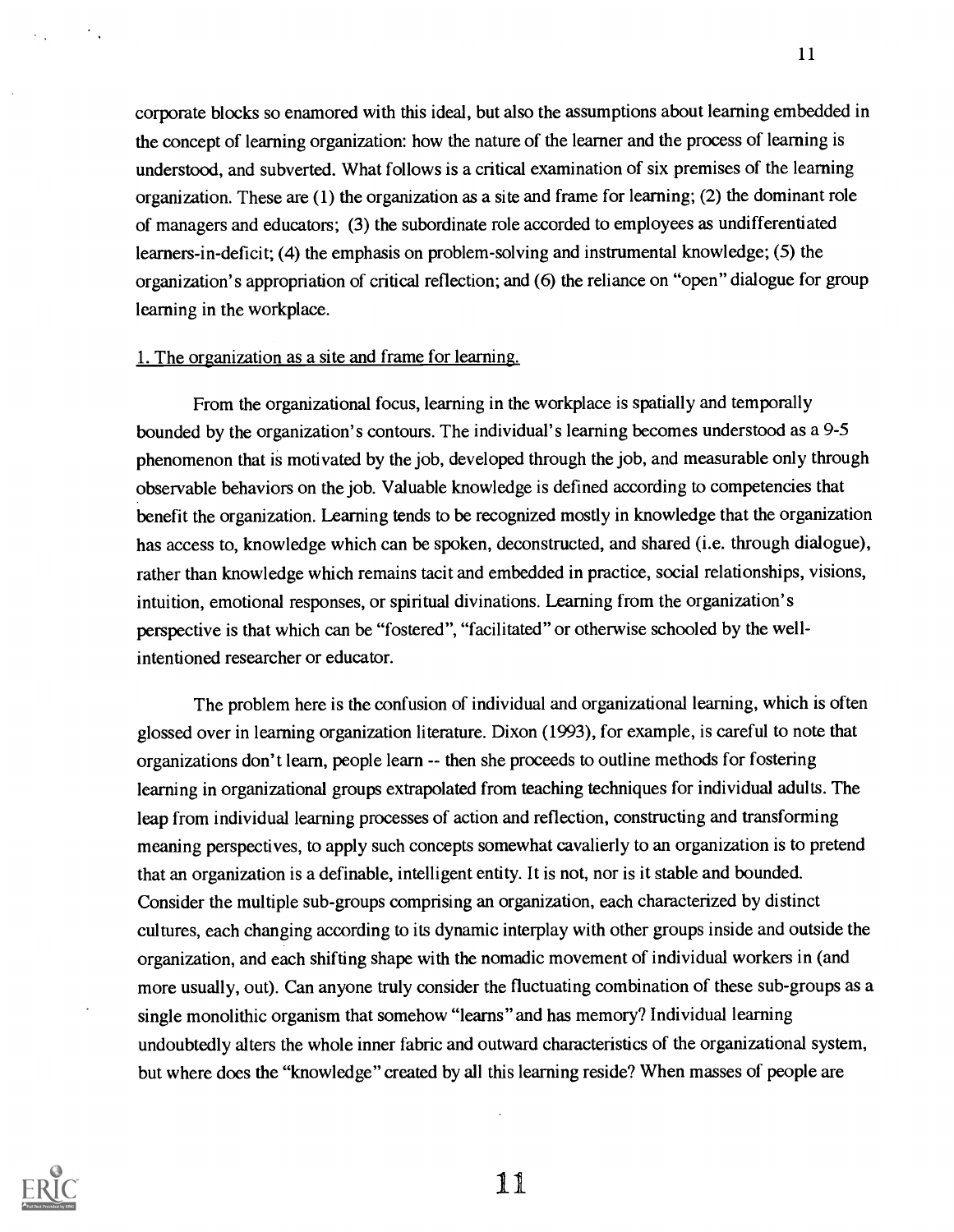corporate blocks so enamored with this ideal, but also the assumptions about learning embedded in the concept of learning organization: how the nature of the learner and the process of learning is understood, and subverted. What follows is a critical examination of six premises of the learning organization. These are (1) the organization as a site and frame for learning; (2) the dominant role of managers and educators; (3) the subordinate role accorded to employees as undifferentiated learners-in-deficit; (4) the emphasis on problem-solving and instrumental knowledge; (5) the organization's appropriation of critical reflection; and (6) the reliance on "open" dialogue for group learning in the workplace.

#### 1. The organization as a site and frame for learning.

From the organizational focus, learning in the workplace is spatially and temporally bounded by the organization's contours. The individual's learning becomes understood as a 9-5 phenomenon that is motivated by the job, developed through the job, and measurable only through observable behaviors on the job. Valuable knowledge is defined according to competencies that benefit the organization. Learning tends to be recognized mostly in knowledge that the organization has access to, knowledge which can be spoken, deconstructed, and shared (i.e. through dialogue), rather than knowledge which remains tacit and embedded in practice, social relationships, visions, intuition, emotional responses, or spiritual divinations. Learning from the organization's perspective is that which can be "fostered", "facilitated" or otherwise schooled by the wellintentioned researcher or educator.

The problem here is the confusion of individual and organizational learning, which is often glossed over in learning organization literature. Dixon (1993), for example, is careful to note that organizations don't learn, people learn -- then she proceeds to outline methods for fostering learning in organizational groups extrapolated from teaching techniques for individual adults. The leap from individual learning processes of action and reflection, constructing and transforming meaning perspectives, to apply such concepts somewhat cavalierly to an organization is to pretend that an organization is a definable, intelligent entity. It is not, nor is it stable and bounded. Consider the multiple sub-groups comprising an organization, each characterized by distinct cultures, each changing according to its dynamic interplay with other groups inside and outside the organization, and each shifting shape with the nomadic movement of individual workers in (and more usually, out). Can anyone truly consider the fluctuating combination of these sub-groups as a single monolithic organism that somehow "learns" and has memory? Individual learning undoubtedly alters the whole inner fabric and outward characteristics of the organizational system, but where does the "knowledge" created by all this learning reside? When masses of people are



 $\gamma_{\rm{th}}$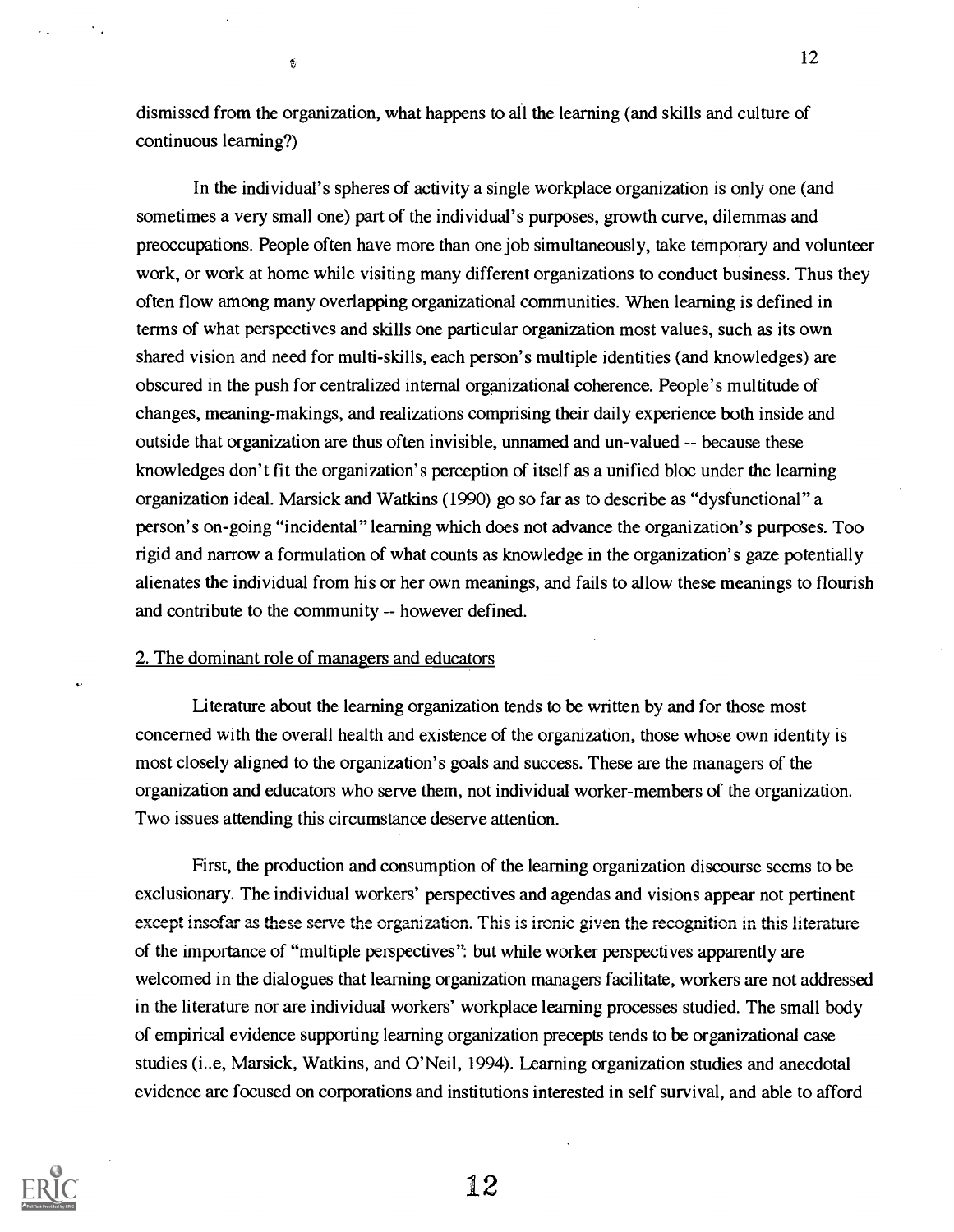dismissed from the organization, what happens to all the learning (and skills and culture of continuous learning?)

In the individual's spheres of activity a single workplace organization is only one (and sometimes a very small one) part of the individual's purposes, growth curve, dilemmas and preoccupations. People often have more than one job simultaneously, take temporary and volunteer work, or work at home while visiting many different organizations to conduct business. Thus they often flow among many overlapping organizational communities. When learning is defined in terms of what perspectives and skills one particular organization most values, such as its own shared vision and need for multi-skills, each person's multiple identities (and knowledges) are obscured in the push for centralized internal organizational coherence. People's multitude of changes, meaning-makings, and realizations comprising their daily experience both inside and outside that organization are thus often invisible, unnamed and un-valued -- because these knowledges don't fit the organization's perception of itself as a unified bloc under the learning organization ideal. Marsick and Watkins (1990) go so far as to describe as "dysfunctional" a person's on-going "incidental" learning which does not advance the organization's purposes. Too rigid and narrow a formulation of what counts as knowledge in the organization's gaze potentially alienates the individual from his or her own meanings, and fails to allow these meanings to flourish and contribute to the community -- however defined.

#### 2. The dominant role of managers and educators

 $\mathbb{S}$ 

Literature about the learning organization tends to be written by and for those most concerned with the overall health and existence of the organization, those whose own identity is most closely aligned to the organization's goals and success. These are the managers of the organization and educators who serve them, not individual worker-members of the organization. Two issues attending this circumstance deserve attention.

First, the production and consumption of the learning organization discourse seems to be exclusionary. The individual workers' perspectives and agendas and visions appear not pertinent except insofar as these serve the organization. This is ironic given the recognition in this literature of the importance of "multiple perspectives": but while worker perspectives apparently are welcomed in the dialogues that learning organization managers facilitate, workers are not addressed in the literature nor are individual workers' workplace learning processes studied. The small body of empirical evidence supporting learning organization precepts tends to be organizational case studies (i..e, Marsick, Watkins, and O'Neil, 1994). Learning organization studies and anecdotal evidence are focused on corporations and institutions interested in self survival, and able to afford



12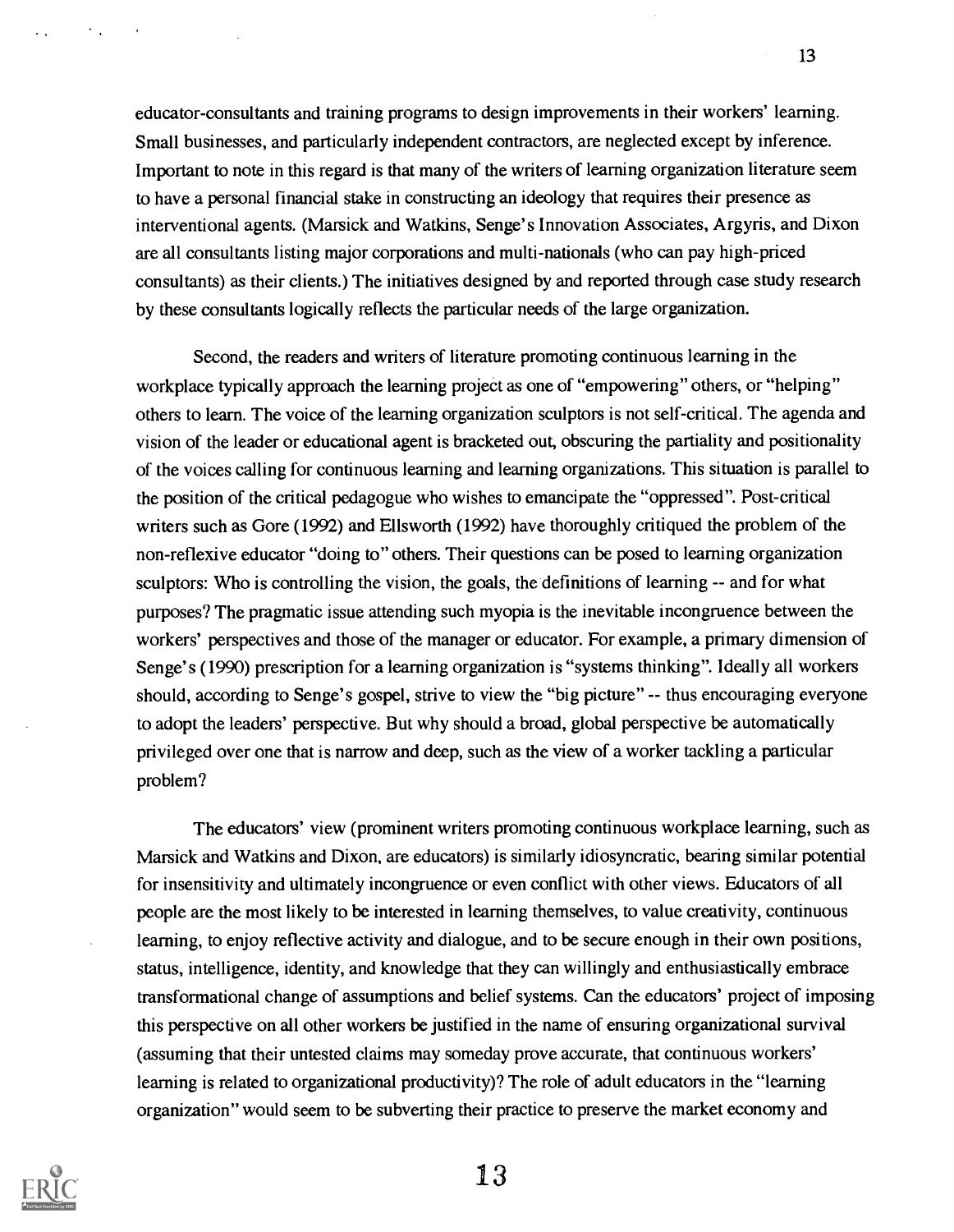educator-consultants and training programs to design improvements in their workers' learning. Small businesses, and particularly independent contractors, are neglected except by inference. Important to note in this regard is that many of the writers of learning organization literature seem to have a personal financial stake in constructing an ideology that requires their presence as interventional agents. (Marsick and Watkins, Senge's Innovation Associates, Argyris, and Dixon are all consultants listing major corporations and multi-nationals (who can pay high-priced consultants) as their clients.) The initiatives designed by and reported through case study research by these consultants logically reflects the particular needs of the large organization.

Second, the readers and writers of literature promoting continuous learning in the workplace typically approach the learning project as one of "empowering" others, or "helping" others to learn. The voice of the learning organization sculptors is not self-critical. The agenda and vision of the leader or educational agent is bracketed out, obscuring the partiality and positionality of the voices calling for continuous learning and learning organizations. This situation is parallel to the position of the critical pedagogue who wishes to emancipate the "oppressed". Post-critical writers such as Gore (1992) and Ellsworth (1992) have thoroughly critiqued the problem of the non-reflexive educator "doing to" others. Their questions can be posed to learning organization sculptors: Who is controlling the vision, the goals, the definitions of learning -- and for what purposes? The pragmatic issue attending such myopia is the inevitable incongruence between the workers' perspectives and those of the manager or educator. For example, a primary dimension of Senge's (1990) prescription for a learning organization is "systems thinking". Ideally all workers should, according to Senge's gospel, strive to view the "big picture" -- thus encouraging everyone to adopt the leaders' perspective. But why should a broad, global perspective be automatically privileged over one that is narrow and deep, such as the view of a worker tackling a particular problem?

The educators' view (prominent writers promoting continuous workplace learning, such as Marsick and Watkins and Dixon, are educators) is similarly idiosyncratic, bearing similar potential for insensitivity and ultimately incongruence or even conflict with other views. Educators of all people are the most likely to be interested in learning themselves, to value creativity, continuous learning, to enjoy reflective activity and dialogue, and to be secure enough in their own positions, status, intelligence, identity, and knowledge that they can willingly and enthusiastically embrace transformational change of assumptions and belief systems. Can the educators' project of imposing this perspective on all other workers be justified in the name of ensuring organizational survival (assuming that their untested claims may someday prove accurate, that continuous workers' learning is related to organizational productivity)? The role of adult educators in the "learning organization" would seem to be subverting their practice to preserve the market economy and

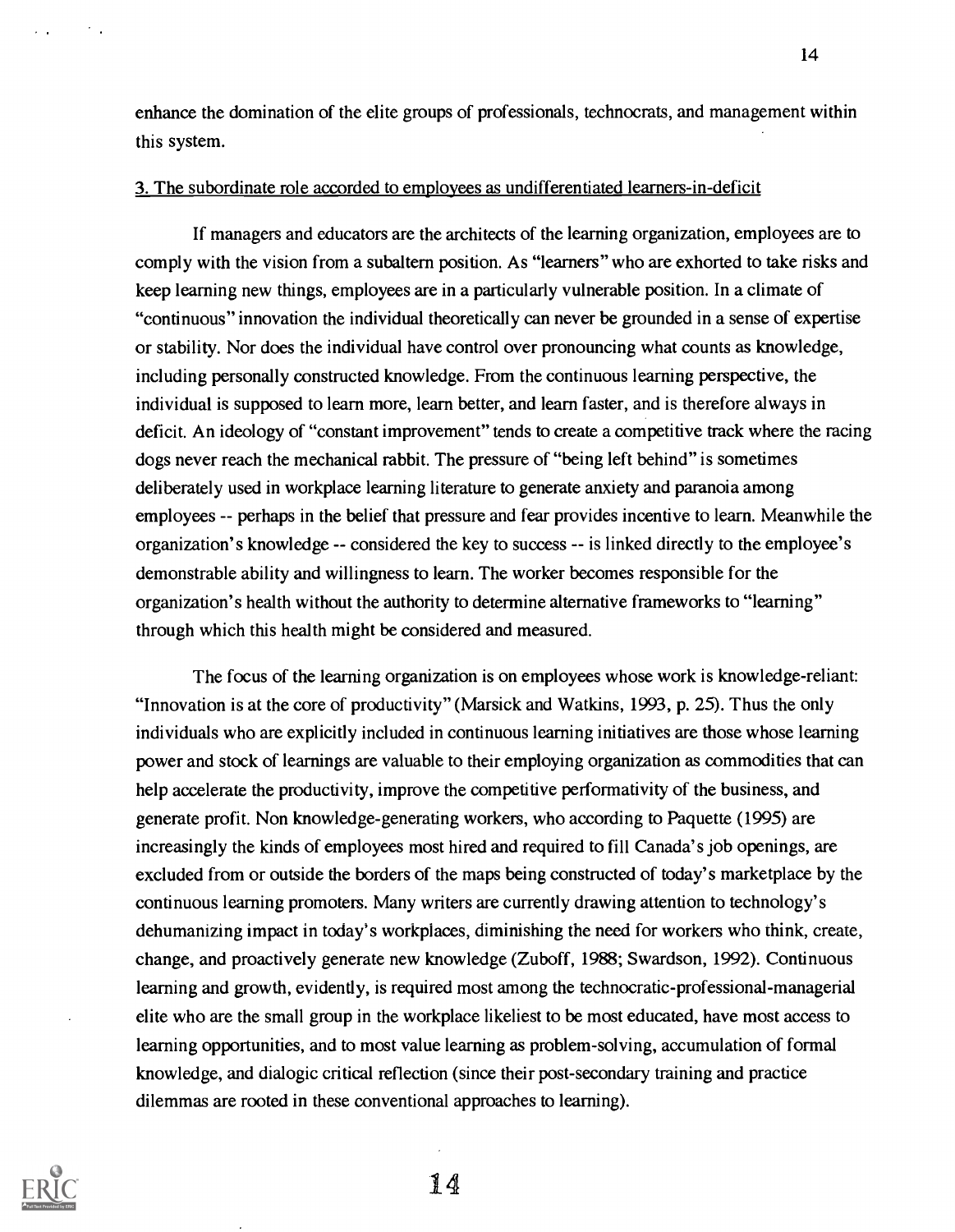enhance the domination of the elite groups of professionals, technocrats, and management within this system.

### 3. The subordinate role accorded to employees as undifferentiated learners-in-deficit

If managers and educators are the architects of the learning organization, employees are to comply with the vision from a subaltern position. As "learners" who are exhorted to take risks and keep learning new things, employees are in a particularly vulnerable position. In a climate of "continuous" innovation the individual theoretically can never be grounded in a sense of expertise or stability. Nor does the individual have control over pronouncing what counts as knowledge, including personally constructed knowledge. From the continuous learning perspective, the individual is supposed to learn more, learn better, and learn faster, and is therefore always in deficit. An ideology of "constant improvement" tends to create a competitive track where the racing dogs never reach the mechanical rabbit. The pressure of "being left behind" is sometimes deliberately used in workplace learning literature to generate anxiety and paranoia among employees -- perhaps in the belief that pressure and fear provides incentive to learn. Meanwhile the organization's knowledge -- considered the key to success -- is linked directly to the employee's demonstrable ability and willingness to learn. The worker becomes responsible for the organization's health without the authority to determine alternative frameworks to "learning" through which this health might be considered and measured.

The focus of the learning organization is on employees whose work is knowledge-reliant: "Innovation is at the core of productivity" (Marsick and Watkins, 1993, p. 25). Thus the only individuals who are explicitly included in continuous learning initiatives are those whose learning power and stock of learnings are valuable to their employing organization as commodities that can help accelerate the productivity, improve the competitive performativity of the business, and generate profit. Non knowledge-generating workers, who according to Paquette (1995) are increasingly the kinds of employees most hired and required to fill Canada's job openings, are excluded from or outside the borders of the maps being constructed of today's marketplace by the continuous learning promoters. Many writers are currently drawing attention to technology's dehumanizing impact in today's workplaces, diminishing the need for workers who think, create, change, and proactively generate new knowledge (Zuboff, 1988; Swardson, 1992). Continuous learning and growth, evidently, is required most among the technocratic-professional-managerial elite who are the small group in the workplace likeliest to be most educated, have most access to learning opportunities, and to most value learning as problem-solving, accumulation of formal knowledge, and dialogic critical reflection (since their post-secondary training and practice dilemmas are rooted in these conventional approaches to learning).



 $\overline{\mathcal{A}}$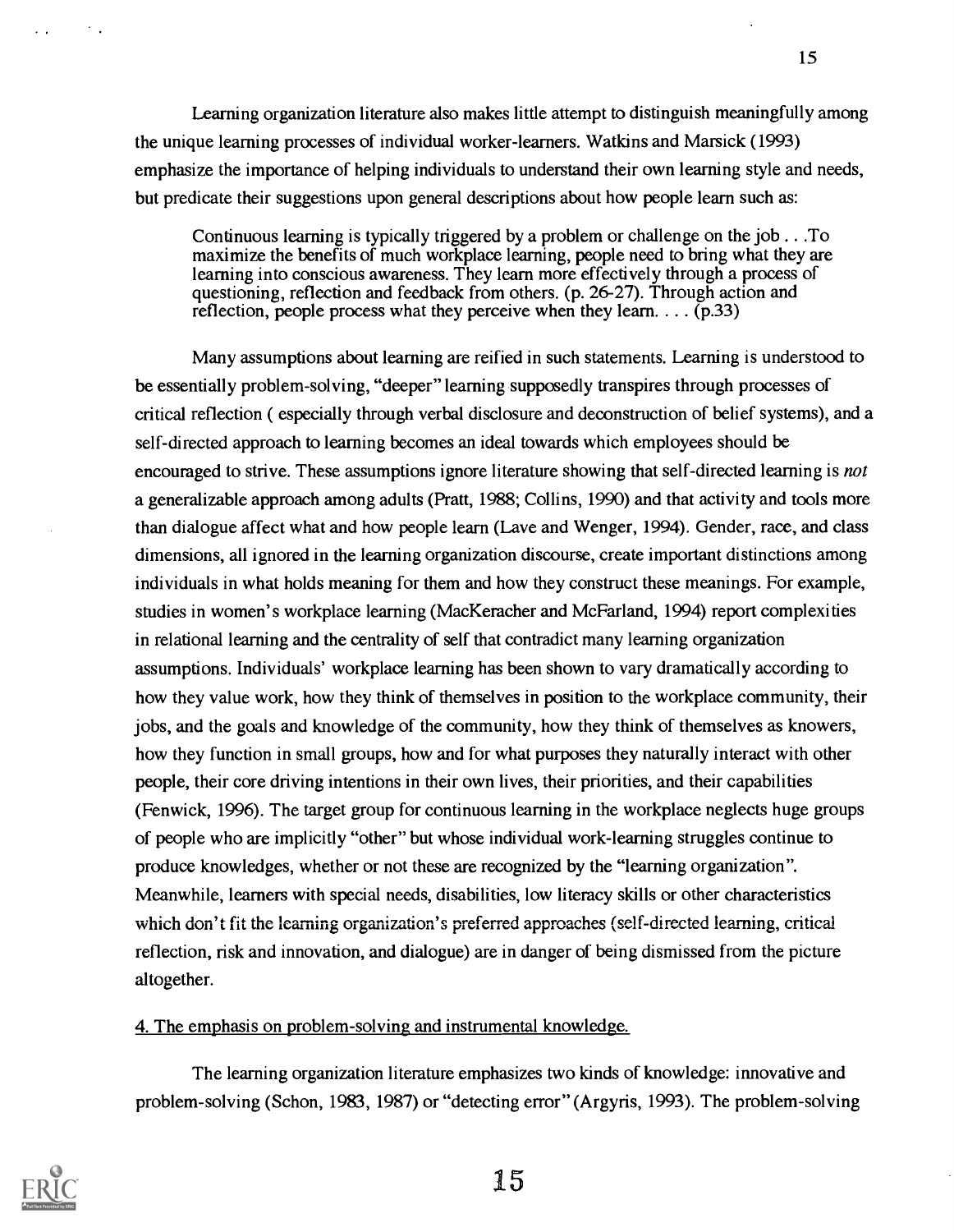Learning organization literature also makes little attempt to distinguish meaningfully among the unique learning processes of individual worker-learners. Watkins and Marsick (1993) emphasize the importance of helping individuals to understand their own learning style and needs, but predicate their suggestions upon general descriptions about how people learn such as:

Continuous learning is typically triggered by a problem or challenge on the job . . .To maximize the benefits of much workplace learning, people need to bring what they are learning into conscious awareness. They learn more effectively through a process of questioning, reflection and feedback from others. (p. 26-27). Through action and reflection, people process what they perceive when they learn.  $\ldots$  (p.33)

Many assumptions about learning are reified in such statements. Learning is understood to be essentially problem-solving, "deeper" learning supposedly transpires through processes of critical reflection ( especially through verbal disclosure and deconstruction of belief systems), and a self-directed approach to learning becomes an ideal towards which employees should be encouraged to strive. These assumptions ignore literature showing that self-directed learning is not a generalizable approach among adults (Pratt, 1988; Collins, 1990) and that activity and tools more than dialogue affect what and how people learn (Lave and Wenger, 1994). Gender, race, and class dimensions, all ignored in the learning organization discourse, create important distinctions among individuals in what holds meaning for them and how they construct these meanings. For example, studies in women's workplace learning (MacKeracher and McFarland, 1994) report complexities in relational learning and the centrality of self that contradict many learning organization assumptions. Individuals' workplace learning has been shown to vary dramatically according to how they value work, how they think of themselves in position to the workplace community, their jobs, and the goals and knowledge of the community, how they think of themselves as knowers, how they function in small groups, how and for what purposes they naturally interact with other people, their core driving intentions in their own lives, their priorities, and their capabilities (Fenwick, 1996). The target group for continuous learning in the workplace neglects huge groups of people who are implicitly "other" but whose individual work-learning struggles continue to produce knowledges, whether or not these are recognized by the "learning organization". Meanwhile, learners with special needs, disabilities, low literacy skills or other characteristics which don't fit the learning organization's preferred approaches (self-directed learning, critical reflection, risk and innovation, and dialogue) are in danger of being dismissed from the picture altogether.

### 4. The emphasis on problem-solving and instrumental knowledge.

The learning organization literature emphasizes two kinds of knowledge: innovative and problem-solving (Schon, 1983, 1987) or "detecting error" (Argyris, 1993). The problem-solving

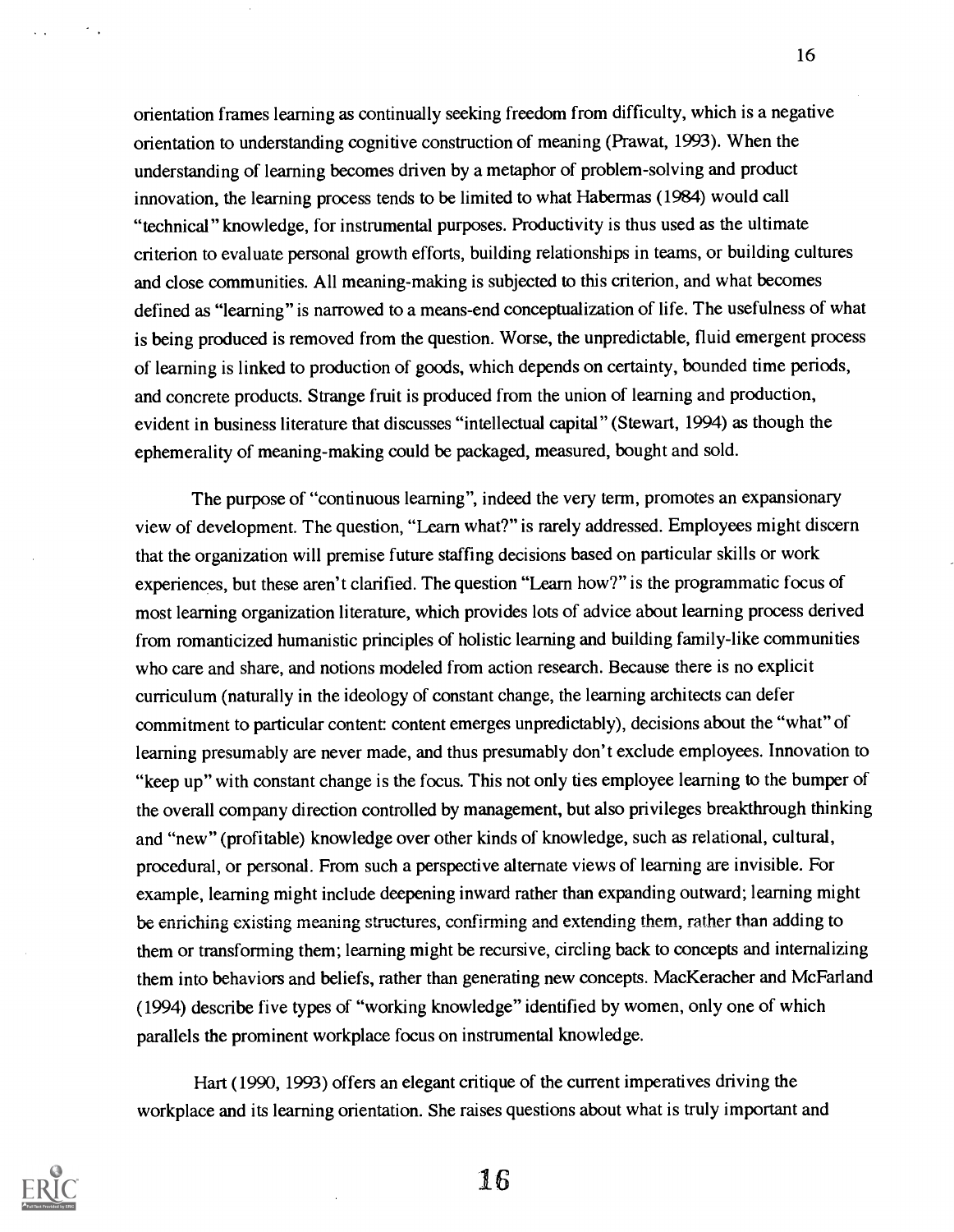orientation frames learning as continually seeking freedom from difficulty, which is a negative orientation to understanding cognitive construction of meaning (Prawat, 1993). When the understanding of learning becomes driven by a metaphor of problem-solving and product innovation, the learning process tends to be limited to what Habermas (1984) would call "technical" knowledge, for instrumental purposes. Productivity is thus used as the ultimate criterion to evaluate personal growth efforts, building relationships in teams, or building cultures and close communities. All meaning-making is subjected to this criterion, and what becomes defined as "learning" is narrowed to a means-end conceptualization of life. The usefulness of what is being produced is removed from the question. Worse, the unpredictable, fluid emergent process of learning is linked to production of goods, which depends on certainty, bounded time periods, and concrete products. Strange fruit is produced from the union of learning and production, evident in business literature that discusses "intellectual capital" (Stewart, 1994) as though the ephemerality of meaning-making could be packaged, measured, bought and sold.

The purpose of "continuous learning", indeed the very term, promotes an expansionary view of development. The question, "Learn what?" is rarely addressed. Employees might discern that the organization will premise future staffing decisions based on particular skills or work experiences, but these aren't clarified. The question "Learn how?" is the programmatic focus of most learning organization literature, which provides lots of advice about learning process derived from romanticized humanistic principles of holistic learning and building family-like communities who care and share, and notions modeled from action research. Because there is no explicit curriculum (naturally in the ideology of constant change, the learning architects can defer commitment to particular content: content emerges unpredictably), decisions about the "what" of learning presumably are never made, and thus presumably don't exclude employees. Innovation to "keep up" with constant change is the focus. This not only ties employee learning to the bumper of the overall company direction controlled by management, but also privileges breakthrough thinking and "new" (profitable) knowledge over other kinds of knowledge, such as relational, cultural, procedural, or personal. From such a perspective alternate views of learning are invisible. For example, learning might include deepening inward rather than expanding outward; learning might be enriching existing meaning structures, confirming and extending them, rather than adding to them or transforming them; learning might be recursive, circling back to concepts and internalizing them into behaviors and beliefs, rather than generating new concepts. MacKeracher and McFarland (1994) describe five types of "working knowledge" identified by women, only one of which parallels the prominent workplace focus on instrumental knowledge.

Hart (1990, 1993) offers an elegant critique of the current imperatives driving the workplace and its learning orientation. She raises questions about what is truly important and

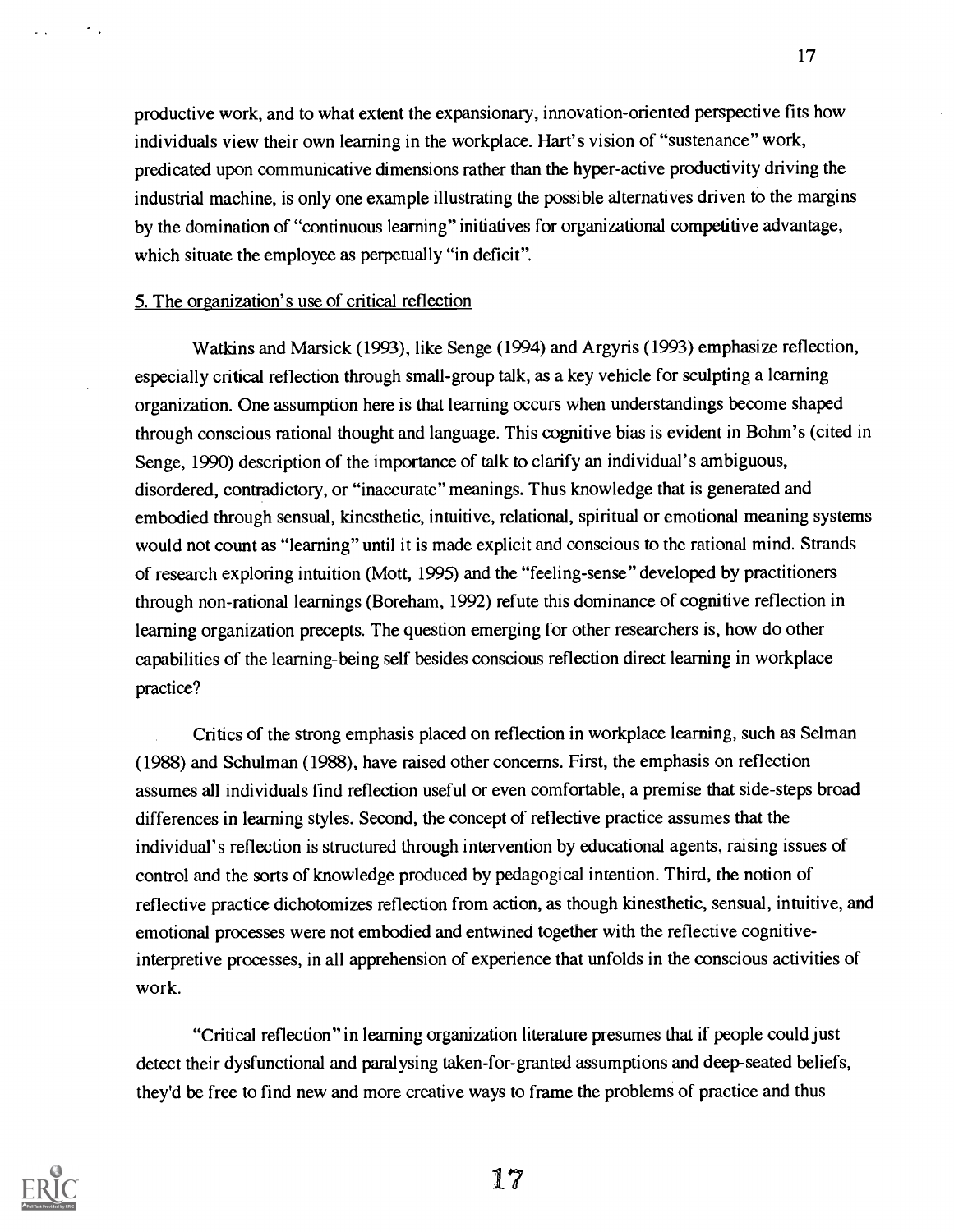productive work, and to what extent the expansionary, innovation-oriented perspective fits how individuals view their own learning in the workplace. Hart's vision of "sustenance" work, predicated upon communicative dimensions rather than the hyper-active productivity driving the industrial machine, is only one example illustrating the possible alternatives driven to the margins by the domination of "continuous learning" initiatives for organizational competitive advantage, which situate the employee as perpetually "in deficit".

17

#### 5. The organization's use of critical reflection

 $\sigma_{\rm eff}$ 

Watkins and Marsick (1993), like Senge (1994) and Argyris (1993) emphasize reflection, especially critical reflection through small-group talk, as a key vehicle for sculpting a learning organization. One assumption here is that learning occurs when understandings become shaped through conscious rational thought and language. This cognitive bias is evident in Bohm's (cited in Senge, 1990) description of the importance of talk to clarify an individual's ambiguous, disordered, contradictory, or "inaccurate" meanings. Thus knowledge that is generated and embodied through sensual, kinesthetic, intuitive, relational, spiritual or emotional meaning systems would not count as "learning" until it is made explicit and conscious to the rational mind. Strands of research exploring intuition (Mott, 1995) and the "feeling-sense" developed by practitioners through non-rational learnings (Boreham, 1992) refute this dominance of cognitive reflection in learning organization precepts. The question emerging for other researchers is, how do other capabilities of the learning-being self besides conscious reflection direct learning in workplace practice?

Critics of the strong emphasis placed on reflection in workplace learning, such as Selman (1988) and Schulman (1988), have raised other concerns. First, the emphasis on reflection assumes all individuals find reflection useful or even comfortable, a premise that side-steps broad differences in learning styles. Second, the concept of reflective practice assumes that the individual's reflection is structured through intervention by educational agents, raising issues of control and the sorts of knowledge produced by pedagogical intention. Third, the notion of reflective practice dichotomizes reflection from action, as though kinesthetic, sensual, intuitive, and emotional processes were not embodied and entwined together with the reflective cognitiveinterpretive processes, in all apprehension of experience that unfolds in the conscious activities of work.

"Critical reflection" in learning organization literature presumes that if people could just detect their dysfunctional and paralysing taken-for-granted assumptions and deep-seated beliefs, they'd be free to find new and more creative ways to frame the problems of practice and thus

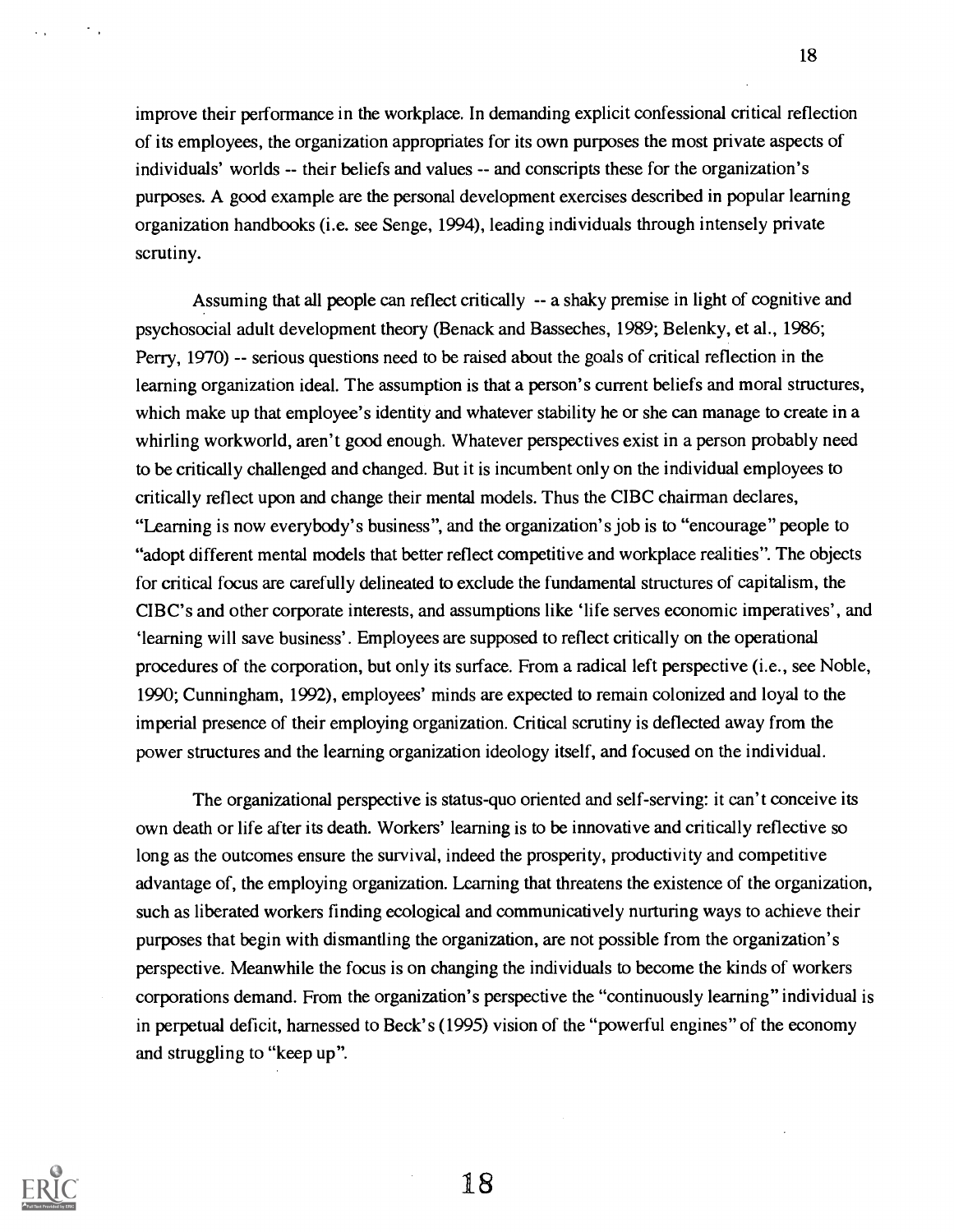improve their performance in the workplace. In demanding explicit confessional critical reflection of its employees, the organization appropriates for its own purposes the most private aspects of individuals' worlds -- their beliefs and values -- and conscripts these for the organization's purposes. A good example are the personal development exercises described in popular learning organization handbooks (i.e. see Senge, 1994), leading individuals through intensely private scrutiny.

Assuming that all people can reflect critically -- a shaky premise in light of cognitive and psychosocial adult development theory (Benack and Basseches, 1989; Belenky, et al., 1986; Perry, 1970) -- serious questions need to be raised about the goals of critical reflection in the learning organization ideal. The assumption is that a person's current beliefs and moral structures, which make up that employee's identity and whatever stability he or she can manage to create in a whirling workworld, aren't good enough. Whatever perspectives exist in a person probably need to be critically challenged and changed. But it is incumbent only on the individual employees to critically reflect upon and change their mental models. Thus the CIBC chairman declares, "Learning is now everybody's business", and the organization's job is to "encourage" people to "adopt different mental models that better reflect competitive and workplace realities". The objects for critical focus are carefully delineated to exclude the fundamental structures of capitalism, the CIBC's and other corporate interests, and assumptions like 'life serves economic imperatives', and `learning will save business'. Employees are supposed to reflect critically on the operational procedures of the corporation, but only its surface. From a radical left perspective (i.e., see Noble, 1990; Cunningham, 1992), employees' minds are expected to remain colonized and loyal to the imperial presence of their employing organization. Critical scrutiny is deflected away from the power structures and the learning organization ideology itself, and focused on the individual.

The organizational perspective is status-quo oriented and self-serving: it can't conceive its own death or life after its death. Workers' learning is to be innovative and critically reflective so long as the outcomes ensure the survival, indeed the prosperity, productivity and competitive advantage of, the employing organization. Learning that threatens the existence of the organization, such as liberated workers finding ecological and communicatively nurturing ways to achieve their purposes that begin with dismantling the organization, are not possible from the organization's perspective. Meanwhile the focus is on changing the individuals to become the kinds of workers corporations demand. From the organization's perspective the "continuously learning" individual is in perpetual deficit, harnessed to Beck's (1995) vision of the "powerful engines" of the economy and struggling to "keep up".

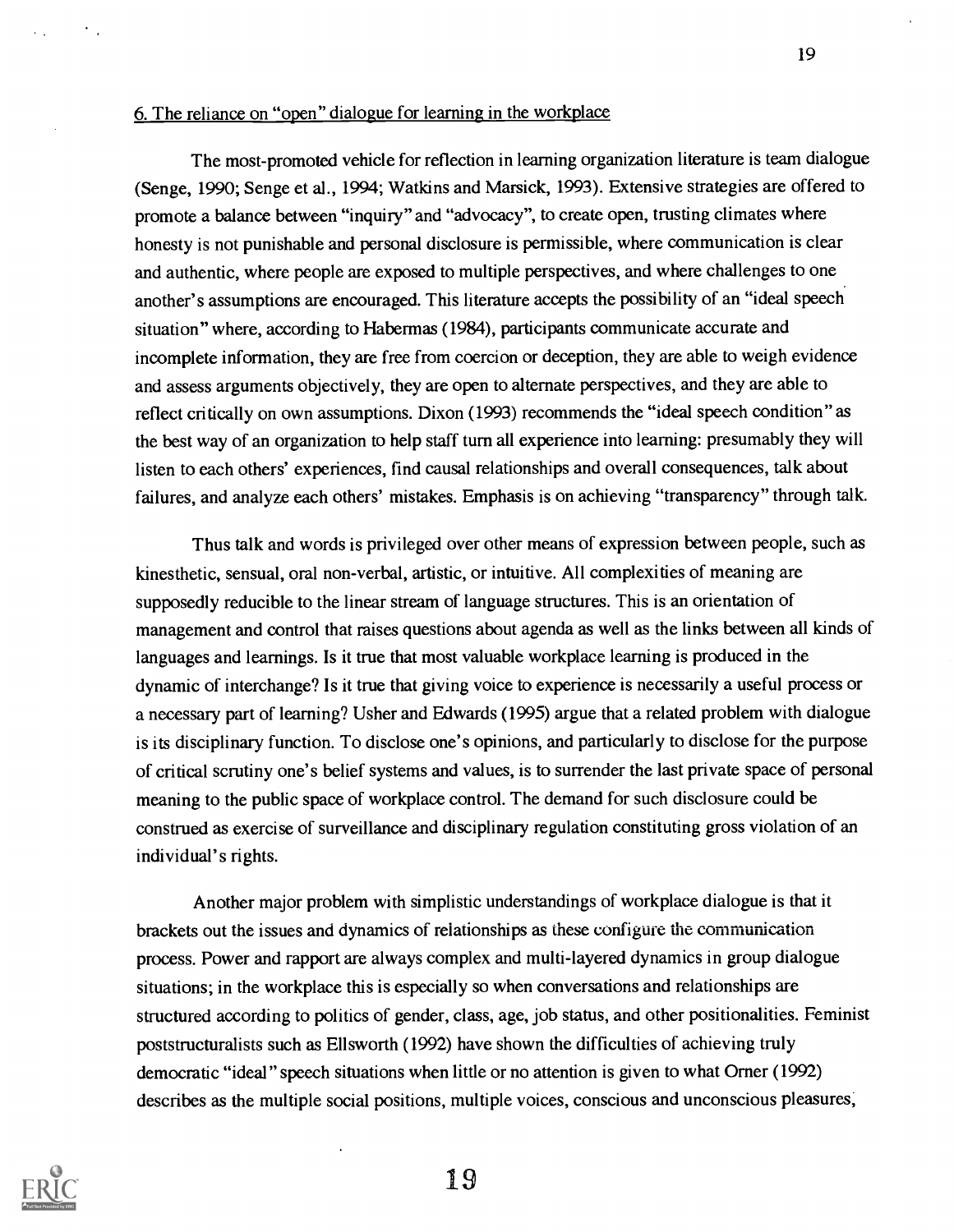# 6. The reliance on "open" dialogue for learning in the workplace

The most-promoted vehicle for reflection in learning organization literature is team dialogue (Senge, 1990; Senge et al., 1994; Watkins and Marsick, 1993). Extensive strategies are offered to promote a balance between "inquiry" and "advocacy", to create open, trusting climates where honesty is not punishable and personal disclosure is permissible, where communication is clear and authentic, where people are exposed to multiple perspectives, and where challenges to one another's assumptions are encouraged. This literature accepts the possibility of an "ideal speech situation" where, according to Habermas (1984), participants communicate accurate and incomplete information, they are free from coercion or deception, they are able to weigh evidence and assess arguments objectively, they are open to alternate perspectives, and they are able to reflect critically on own assumptions. Dixon (1993) recommends the "ideal speech condition" as the best way of an organization to help staff turn all experience into learning: presumably they will listen to each others' experiences, find causal relationships and overall consequences, talk about failures, and analyze each others' mistakes. Emphasis is on achieving "transparency" through talk.

Thus talk and words is privileged over other means of expression between people, such as kinesthetic, sensual, oral non-verbal, artistic, or intuitive. All complexities of meaning are supposedly reducible to the linear stream of language structures. This is an orientation of management and control that raises questions about agenda as well as the links between all kinds of languages and learnings. Is it true that most valuable workplace learning is produced in the dynamic of interchange? Is it true that giving voice to experience is necessarily a useful process or a necessary part of learning? Usher and Edwards (1995) argue that a related problem with dialogue is its disciplinary function. To disclose one's opinions, and particularly to disclose for the purpose of critical scrutiny one's belief systems and values, is to surrender the last private space of personal meaning to the public space of workplace control. The demand for such disclosure could be construed as exercise of surveillance and disciplinary regulation constituting gross violation of an individual's rights.

Another major problem with simplistic understandings of workplace dialogue is that it brackets out the issues and dynamics of relationships as these configure the communication process. Power and rapport are always complex and multi-layered dynamics in group dialogue situations; in the workplace this is especially so when conversations and relationships are structured according to politics of gender, class, age, job status, and other positionalities. Feminist poststructuralists such as Ellsworth (1992) have shown the difficulties of achieving truly democratic "ideal" speech situations when little or no attention is given to what Orner (1992) describes as the multiple social positions, multiple voices, conscious and unconscious pleasures,

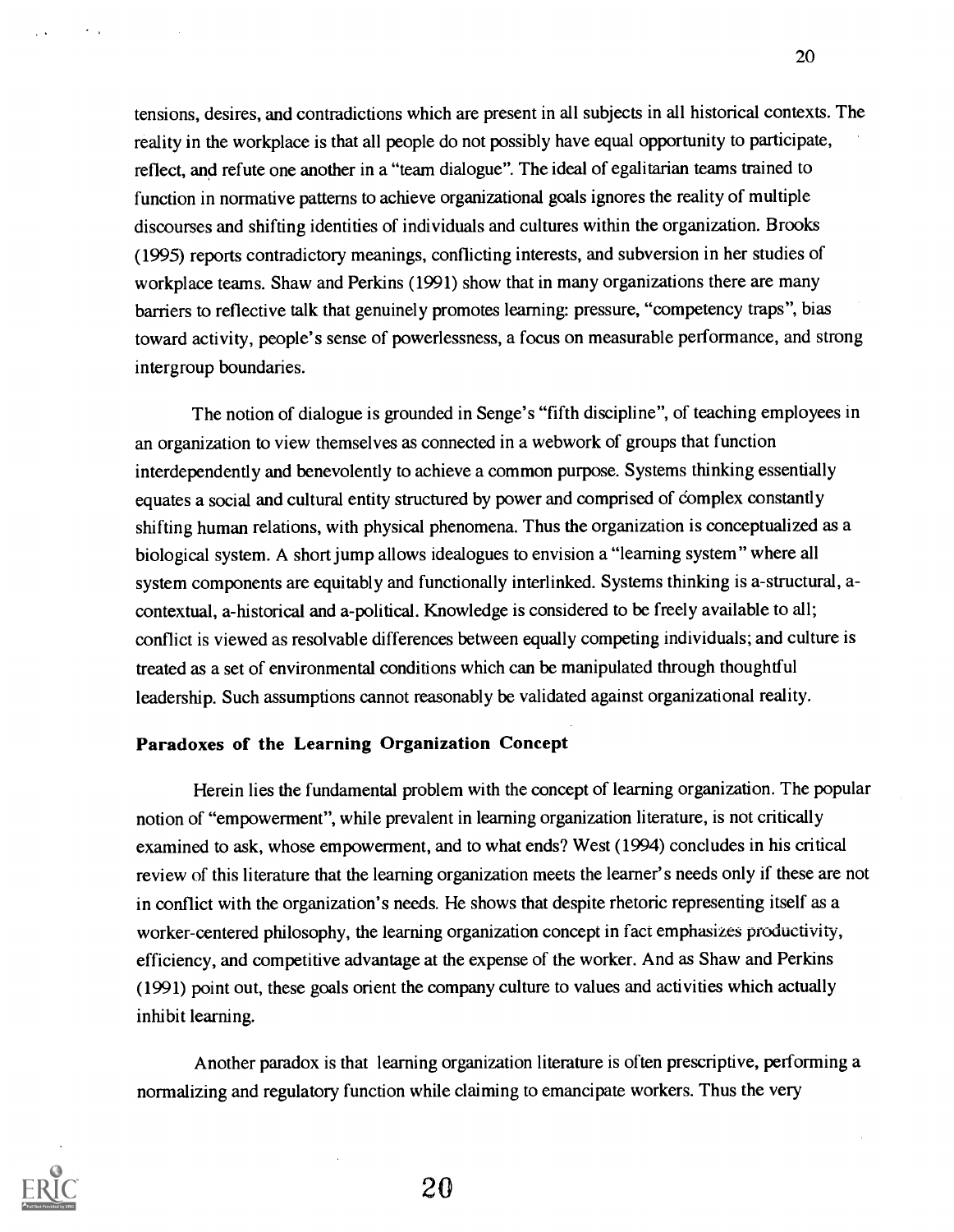tensions, desires, and contradictions which are present in all subjects in all historical contexts. The reality in the workplace is that all people do not possibly have equal opportunity to participate, reflect, and refute one another in a "team dialogue". The ideal of egalitarian teams trained to function in normative patterns to achieve organizational goals ignores the reality of multiple discourses and shifting identities of individuals and cultures within the organization. Brooks (1995) reports contradictory meanings, conflicting interests, and subversion in her studies of workplace teams. Shaw and Perkins (1991) show that in many organizations there are many barriers to reflective talk that genuinely promotes learning: pressure, "competency traps", bias toward activity, people's sense of powerlessness, a focus on measurable performance, and strong intergroup boundaries.

The notion of dialogue is grounded in Senge's "fifth discipline", of teaching employees in an organization to view themselves as connected in a webwork of groups that function interdependently and benevolently to achieve a common purpose. Systems thinking essentially equates a social and cultural entity structured by power and comprised of complex constantly shifting human relations, with physical phenomena. Thus the organization is conceptualized as a biological system. A short jump allows idealogues to envision a "learning system" where all system components are equitably and functionally interlinked. Systems thinking is a-structural, acontextual, a-historical and a-political. Knowledge is considered to be freely available to all; conflict is viewed as resolvable differences between equally competing individuals; and culture is treated as a set of environmental conditions which can be manipulated through thoughtful leadership. Such assumptions cannot reasonably be validated against organizational reality.

### Paradoxes of the Learning Organization Concept

Herein lies the fundamental problem with the concept of learning organization. The popular notion of "empowerment", while prevalent in learning organization literature, is not critically examined to ask, whose empowerment, and to what ends? West (1994) concludes in his critical review of this literature that the learning organization meets the learner's needs only if these are not in conflict with the organization's needs. He shows that despite rhetoric representing itself as a worker-centered philosophy, the learning organization concept in fact emphasizes productivity, efficiency, and competitive advantage at the expense of the worker. And as Shaw and Perkins (1991) point out, these goals orient the company culture to values and activities which actually inhibit learning.

Another paradox is that learning organization literature is often prescriptive, performing a normalizing and regulatory function while claiming to emancipate workers. Thus the very

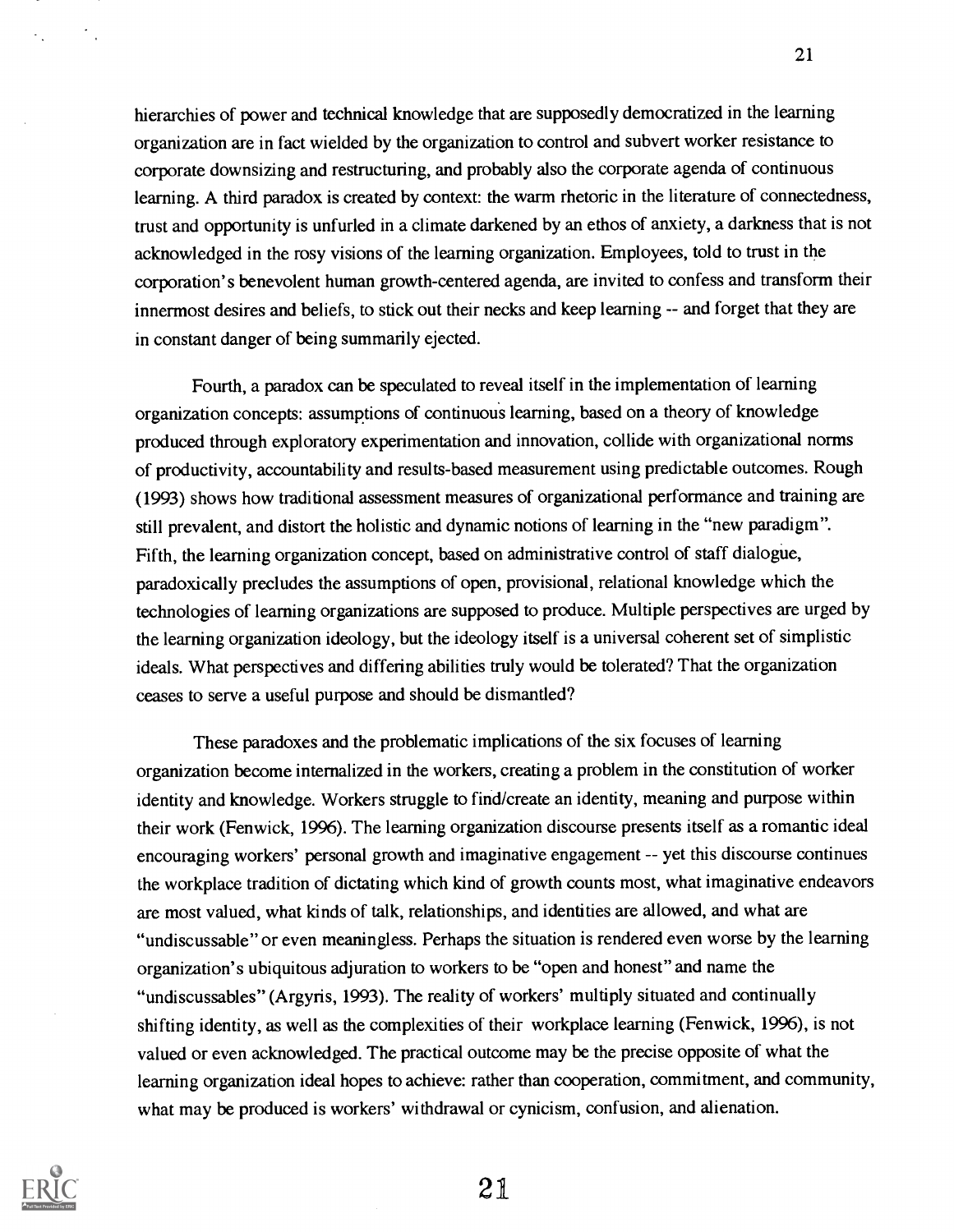hierarchies of power and technical knowledge that are supposedly democratized in the learning organization are in fact wielded by the organization to control and subvert worker resistance to corporate downsizing and restructuring, and probably also the corporate agenda of continuous learning. A third paradox is created by context: the warm rhetoric in the literature of connectedness, trust and opportunity is unfurled in a climate darkened by an ethos of anxiety, a darkness that is not acknowledged in the rosy visions of the learning organization. Employees, told to trust in the corporation's benevolent human growth-centered agenda, are invited to confess and transform their innermost desires and beliefs, to stick out their necks and keep learning -- and forget that they are in constant danger of being summarily ejected.

Fourth, a paradox can be speculated to reveal itself in the implementation of learning organization concepts: assumptions of continuous learning, based on a theory of knowledge produced through exploratory experimentation and innovation, collide with organizational norms of productivity, accountability and results-based measurement using predictable outcomes. Rough (1993) shows how traditional assessment measures of organizational performance and training are still prevalent, and distort the holistic and dynamic notions of learning in the "new paradigm". Fifth, the learning organization concept, based on administrative control of staff dialogue, paradoxically precludes the assumptions of open, provisional, relational knowledge which the technologies of learning organizations are supposed to produce. Multiple perspectives are urged by the learning organization ideology, but the ideology itself is a universal coherent set of simplistic ideals. What perspectives and differing abilities truly would be tolerated? That the organization ceases to serve a useful purpose and should be dismantled?

These paradoxes and the problematic implications of the six focuses of learning organization become internalized in the workers, creating a problem in the constitution of worker identity and knowledge. Workers struggle to find/create an identity, meaning and purpose within their work (Fenwick, 1996). The learning organization discourse presents itself as a romantic ideal encouraging workers' personal growth and imaginative engagement -- yet this discourse continues the workplace tradition of dictating which kind of growth counts most, what imaginative endeavors are most valued, what kinds of talk, relationships, and identities are allowed, and what are "undiscussable" or even meaningless. Perhaps the situation is rendered even worse by the learning organization's ubiquitous adjuration to workers to be "open and honest" and name the "undiscussables" (Argyris, 1993). The reality of workers' multiply situated and continually shifting identity, as well as the complexities of their workplace learning (Fenwick, 1996), is not valued or even acknowledged. The practical outcome may be the precise opposite of what the learning organization ideal hopes to achieve: rather than cooperation, commitment, and community, what may be produced is workers' withdrawal or cynicism, confusion, and alienation.

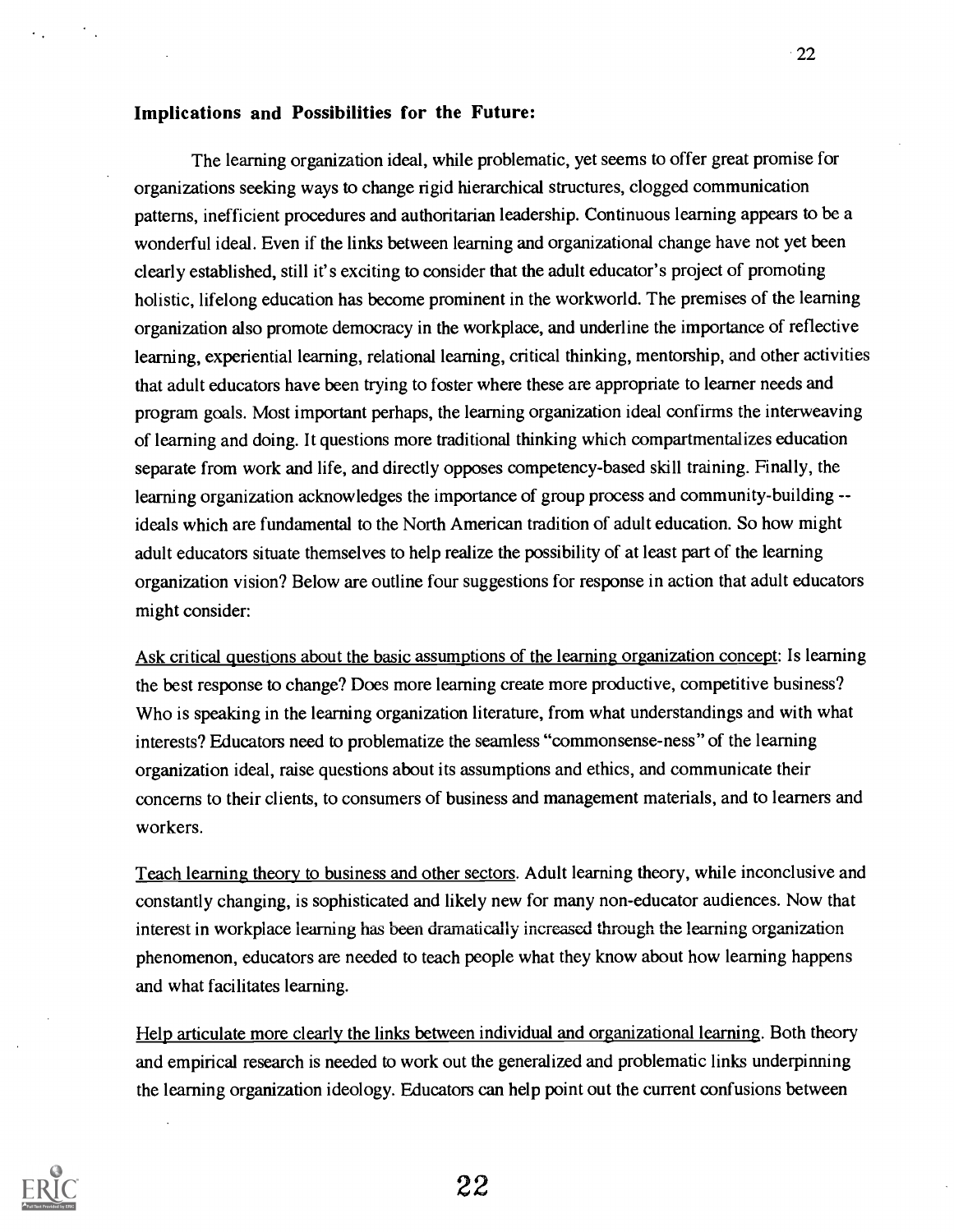#### Implications and Possibilities for the Future:

The learning organization ideal, while problematic, yet seems to offer great promise for organizations seeking ways to change rigid hierarchical structures, clogged communication patterns, inefficient procedures and authoritarian leadership. Continuous learning appears to be a wonderful ideal. Even if the links between learning and organizational change have not yet been clearly established, still it's exciting to consider that the adult educator's project of promoting holistic, lifelong education has become prominent in the workworld. The premises of the learning organization also promote democracy in the workplace, and underline the importance of reflective learning, experiential learning, relational learning, critical thinking, mentorship, and other activities that adult educators have been trying to foster where these are appropriate to learner needs and program goals. Most important perhaps, the learning organization ideal confirms the interweaving of learning and doing. It questions more traditional thinking which compartmentalizes education separate from work and life, and directly opposes competency-based skill training. Finally, the learning organization acknowledges the importance of group process and community-building -ideals which are fundamental to the North American tradition of adult education. So how might adult educators situate themselves to help realize the possibility of at least part of the learning organization vision? Below are outline four suggestions for response in action that adult educators might consider:

Ask critical questions about the basic assumptions of the learning organization concept: Is learning the best response to change? Does more learning create more productive, competitive business? Who is speaking in the learning organization literature, from what understandings and with what interests? Educators need to problematize the seamless "commonsense-ness" of the learning organization ideal, raise questions about its assumptions and ethics, and communicate their concerns to their clients, to consumers of business and management materials, and to learners and workers.

Teach learning theory to business and other sectors. Adult learning theory, while inconclusive and constantly changing, is sophisticated and likely new for many non-educator audiences. Now that interest in workplace learning has been dramatically increased through the learning organization phenomenon, educators are needed to teach people what they know about how learning happens and what facilitates learning.

Help articulate more clearly the links between individual and organizational learning. Both theory and empirical research is needed to work out the generalized and problematic links underpinning the learning organization ideology. Educators can help point out the current confusions between

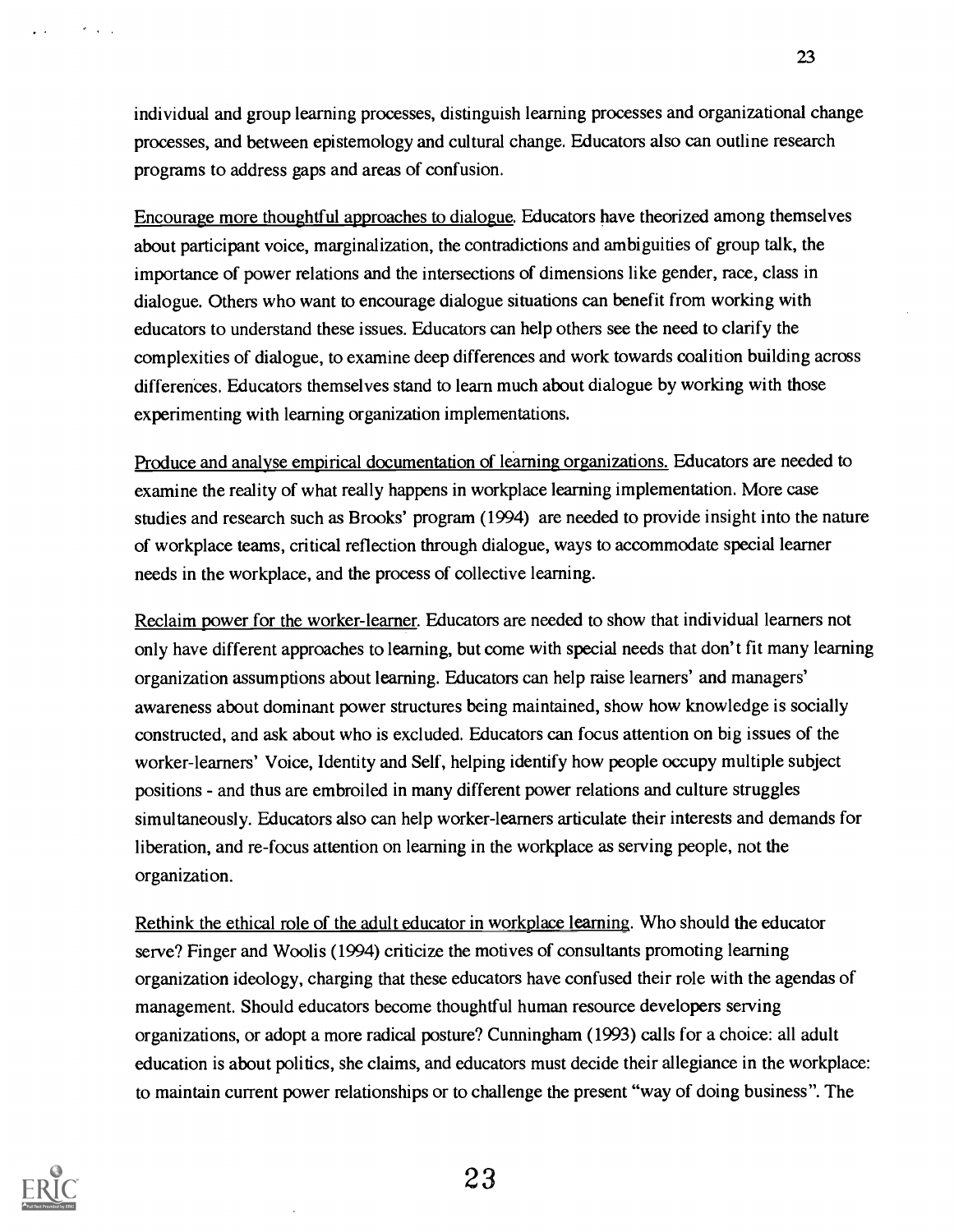individual and group learning processes, distinguish learning processes and organizational change processes, and between epistemology and cultural change. Educators also can outline research programs to address gaps and areas of confusion.

23

Encourage more thoughtful approaches to dialogue. Educators have theorized among themselves about participant voice, marginalization, the contradictions and ambiguities of group talk, the importance of power relations and the intersections of dimensions like gender, race, class in dialogue. Others who want to encourage dialogue situations can benefit from working with educators to understand these issues. Educators can help others see the need to clarify the complexities of dialogue, to examine deep differences and work towards coalition building across differences. Educators themselves stand to learn much about dialogue by working with those experimenting with learning organization implementations.

Produce and analyse empirical documentation of learning organizations. Educators are needed to examine the reality of what really happens in workplace learning implementation. More case studies and research such as Brooks' program (1994) are needed to provide insight into the nature of workplace teams, critical reflection through dialogue, ways to accommodate special learner needs in the workplace, and the process of collective learning.

Reclaim power for the worker-learner. Educators are needed to show that individual learners not only have different approaches to learning, but come with special needs that don't fit many learning organization assumptions about learning. Educators can help raise learners' and managers' awareness about dominant power structures being maintained, show how knowledge is socially constructed, and ask about who is excluded. Educators can focus attention on big issues of the worker-learners' Voice, Identity and Self, helping identify how people occupy multiple subject positions - and thus are embroiled in many different power relations and culture struggles simultaneously. Educators also can help worker-learners articulate their interests and demands for liberation, and re-focus attention on learning in the workplace as serving people, not the organization.

Rethink the ethical role of the adult educator in workplace learning. Who should the educator serve? Finger and Woolis (1994) criticize the motives of consultants promoting learning organization ideology, charging that these educators have confused their role with the agendas of management. Should educators become thoughtful human resource developers serving organizations, or adopt a more radical posture? Cunningham (1993) calls for a choice: all adult education is about politics, she claims, and educators must decide their allegiance in the workplace: to maintain current power relationships or to challenge the present "way of doing business". The



 $\sim 100$  km s  $^{-1}$ 

 $\sim$   $\sim$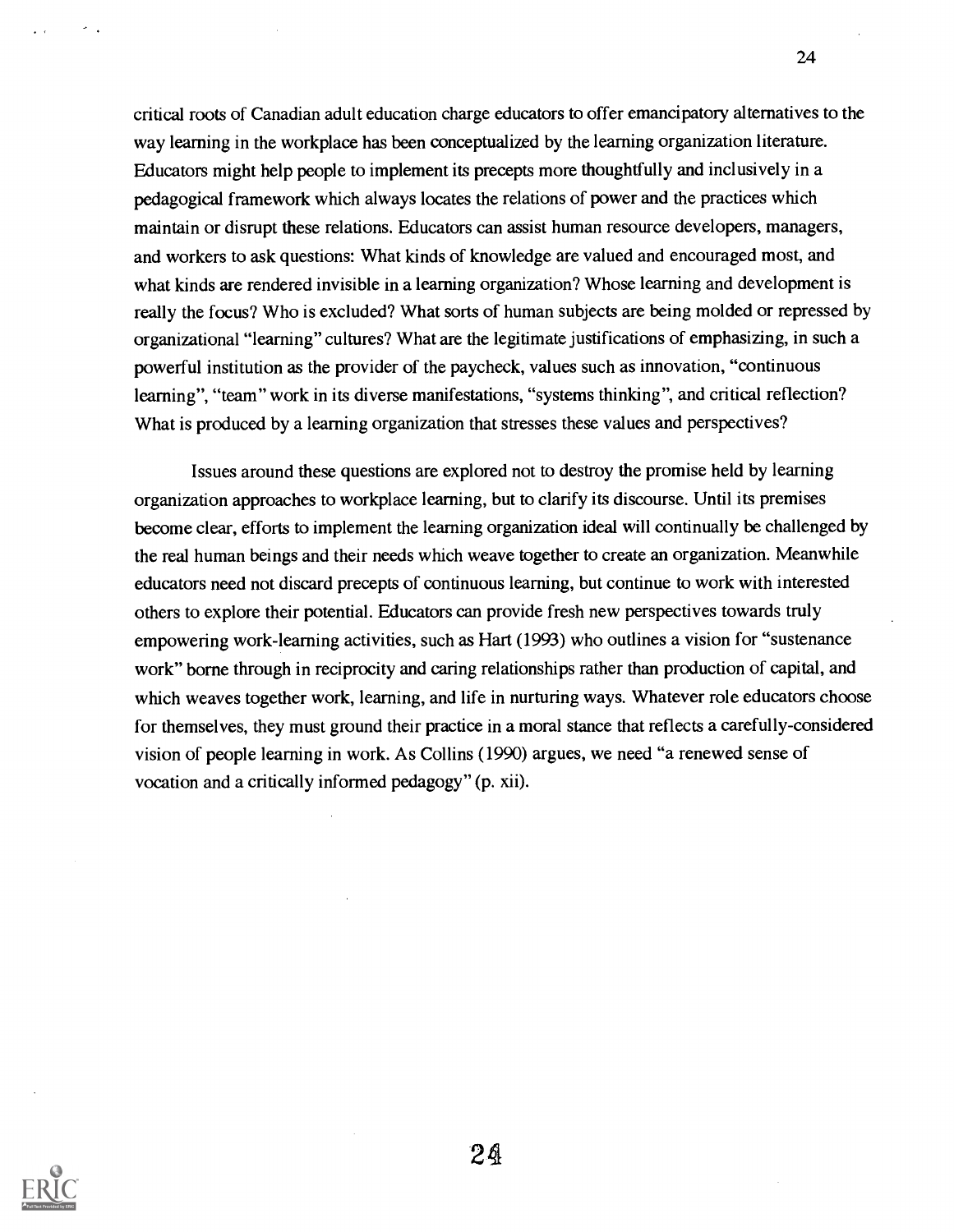critical roots of Canadian adult education charge educators to offer emancipatory alternatives to the way learning in the workplace has been conceptualized by the learning organization literature. Educators might help people to implement its precepts more thoughtfully and inclusively in a pedagogical framework which always locates the relations of power and the practices which maintain or disrupt these relations. Educators can assist human resource developers, managers, and workers to ask questions: What kinds of knowledge are valued and encouraged most, and what kinds are rendered invisible in a learning organization? Whose learning and development is really the focus? Who is excluded? What sorts of human subjects are being molded or repressed by organizational "learning" cultures? What are the legitimate justifications of emphasizing, in such a powerful institution as the provider of the paycheck, values such as innovation, "continuous learning", "team" work in its diverse manifestations, "systems thinking", and critical reflection? What is produced by a learning organization that stresses these values and perspectives?

Issues around these questions are explored not to destroy the promise held by learning organization approaches to workplace learning, but to clarify its discourse. Until its premises become clear, efforts to implement the learning organization ideal will continually be challenged by the real human beings and their needs which weave together to create an organization. Meanwhile educators need not discard precepts of continuous learning, but continue to work with interested others to explore their potential. Educators can provide fresh new perspectives towards truly empowering work-learning activities, such as Hart (1993) who outlines a vision for "sustenance work" borne through in reciprocity and caring relationships rather than production of capital, and which weaves together work, learning, and life in nurturing ways. Whatever role educators choose for themselves, they must ground their practice in a moral stance that reflects a carefully-considered vision of people learning in work. As Collins (1990) argues, we need "a renewed sense of vocation and a critically informed pedagogy" (p. xii).



24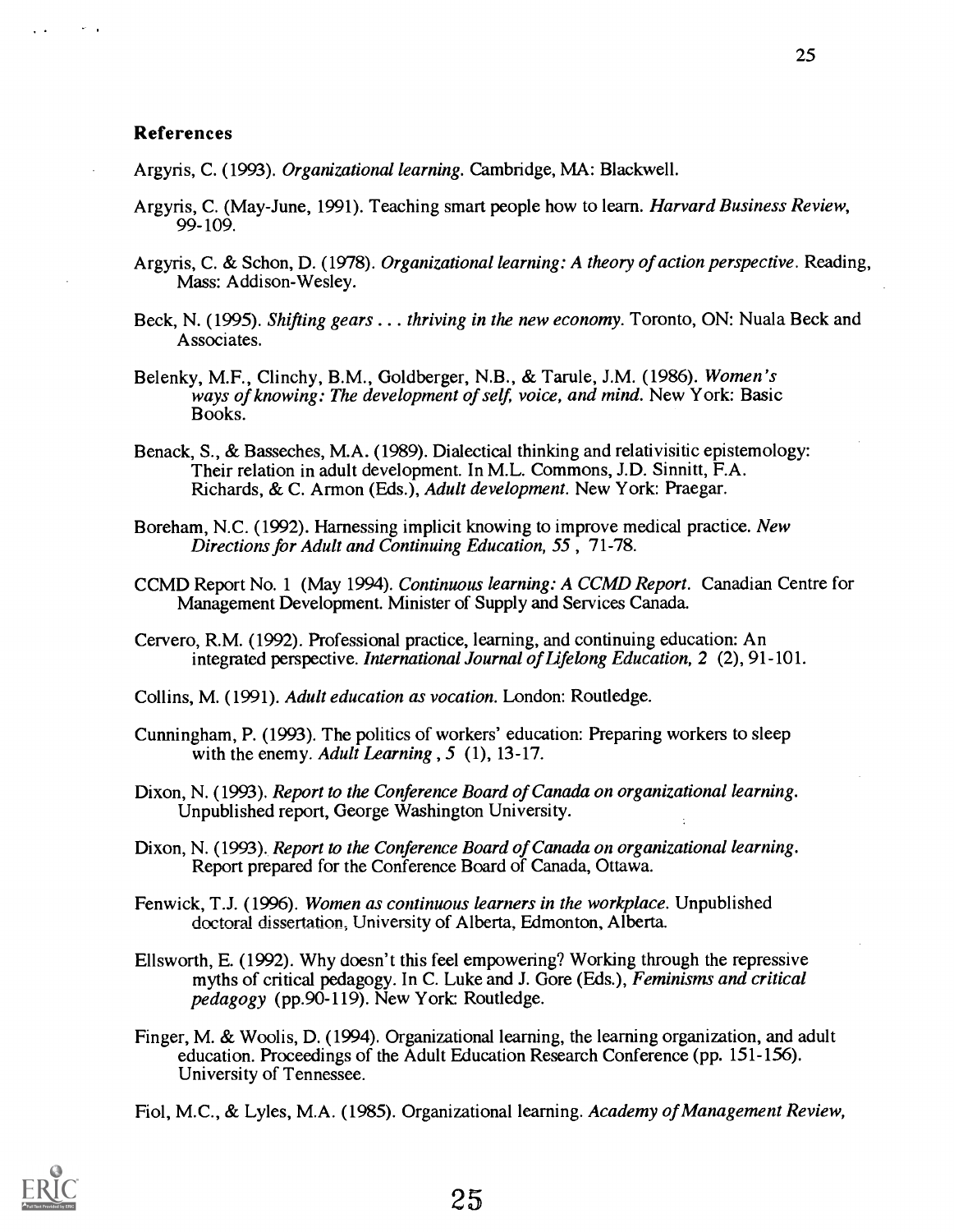$\sim$   $\sim$ 

Argyris, C. (1993). Organizational learning. Cambridge, MA: Blackwell.

- Argyris, C. (May-June, 1991). Teaching smart people how to learn. Harvard Business Review, 99-109.
- Argyris, C. & Schon, D. (1978). Organizational learning: A theory of action perspective. Reading, Mass: Addison-Wesley.
- Beck, N. (1995). Shifting gears . . . thriving in the new economy. Toronto, ON: Nuala Beck and Associates.
- Belenky, M.F., Clinchy, B.M., Goldberger, N.B., & Tarule, J.M. (1986). Women's ways of knowing: The development of self, voice, and mind. New York: Basic Books.
- Benack, S., & Basseches, M.A. (1989). Dialectical thinking and relativisitic epistemology: Their relation in adult development. In M.L. Commons, J.D. Sinnitt, F.A. Richards, & C. Armon (Eds.), Adult development. New York: Praegar.
- Boreham, N.C. (1992). Harnessing implicit knowing to improve medical practice. New Directions for Adult and Continuing Education, 55 , 71-78.
- CCMD Report No. 1 (May 1994). Continuous learning: A CCMD Report. Canadian Centre for Management Development. Minister of Supply and Services Canada.
- Cervero, R.M. (1992). Professional practice, learning, and continuing education: An integrated perspective. International Journal of Lifelong Education, 2 (2), 91-101.
- Collins, M. (1991). Adult education as vocation. London: Routledge.
- Cunningham, P. (1993). The politics of workers' education: Preparing workers to sleep with the enemy. Adult Learning,  $5(1)$ , 13-17.
- Dixon, N. (1993). Report to the Conference Board of Canada on organizational learning. Unpublished report, George Washington University.
- Dixon, N. (1993). Report to the Conference Board of Canada on organizational learning. Report prepared for the Conference Board of Canada, Ottawa.
- Fenwick, T.J. (1996). Women as continuous learners in the workplace. Unpublished doctoral dissertation, University of Alberta, Edmonton, Alberta.
- Ellsworth, E. (1992). Why doesn't this feel empowering? Working through the repressive myths of critical pedagogy. In C. Luke and J. Gore (Eds.), Feminisms and critical pedagogy (pp.90-119). New York: Routledge.
- Finger, M. & Woolis, D. (1994). Organizational learning, the learning organization, and adult education. Proceedings of the Adult Education Research Conference (pp. 151-156). University of Tennessee.

Fiol, M.C., & Lyles, M.A. (1985). Organizational learning. Academy of Management Review,

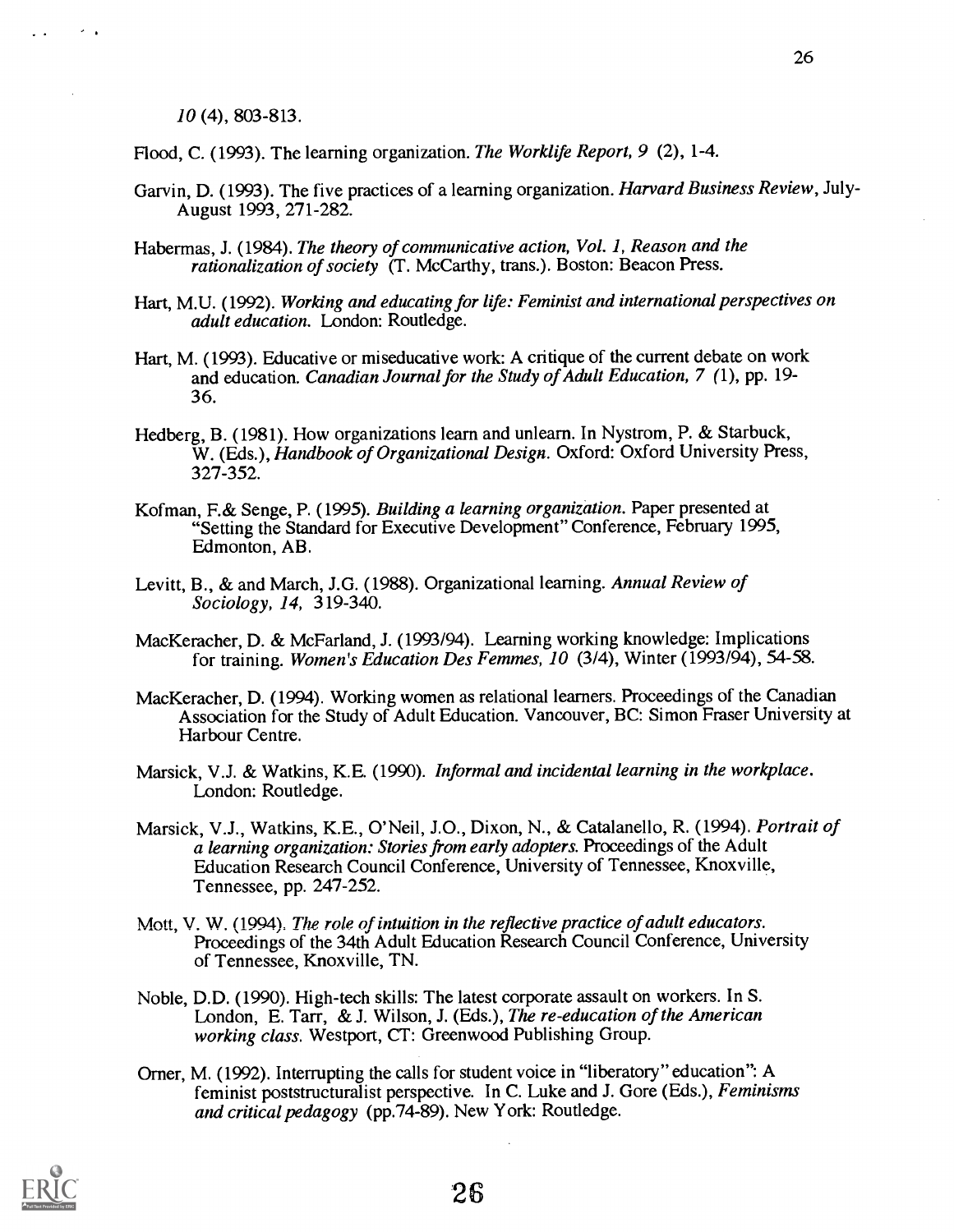10 (4), 803-813.

Flood, C. (1993). The learning organization. The Worklife Report, 9 (2), 1-4.

- Garvin, D. (1993). The five practices of a learning organization. *Harvard Business Review*, July-August 1993, 271-282.
- Habermas, J. (1984). The theory of communicative action, Vol. 1, Reason and the rationalization of society (T. McCarthy, trans.). Boston: Beacon Press.
- Hart, M.U. (1992). Working and educating for life: Feminist and international perspectives on adult education. London: Routledge.
- Hart, M. (1993). Educative or miseducative work: A critique of the current debate on work and education. Canadian Journal for the Study of Adult Education, 7 (1), pp. 19- 36.
- Hedberg, B. (1981). How organizations learn and unlearn. In Nystrom, P. & Starbuck, W. (Eds.), Handbook of Organizational Design. Oxford: Oxford University Press, 327-352.
- Kofman, F.& Senge, P. (1995). Building a learning organization. Paper presented at "Setting the Standard for Executive Development" Conference, February 1995, Edmonton, AB.
- Levitt, B., & and March, J.G. (1988). Organizational learning. Annual Review of Sociology, 14, 319-340.
- MacKeracher, D. & McFarland, J. (1993/94). Learning working knowledge: Implications for training. Women's Education Des Femmes, 10 (3/4), Winter (1993/94), 54-58.
- MacKeracher, D. (1994). Working women as relational learners. Proceedings of the Canadian Association for the Study of Adult Education. Vancouver, BC: Simon Fraser University at Harbour Centre.
- Marsick, V.J. & Watkins, K.E. (1990). Informal and incidental learning in the workplace. London: Routledge.
- Marsick, V.J., Watkins, K.E., O'Neil, J.0., Dixon, N., & Catalanello, R. (1994). Portrait of a learning organization: Stories from early adopters. Proceedings of the Adult Education Research Council Conference, University of Tennessee, Knoxville, Tennessee, pp. 247-252.
- Mott, V. W. (1994). The role of intuition in the reflective practice of adult educators. Proceedings of the 34th Adult Education Research Council Conference, University of Tennessee, Knoxville, TN.
- Noble, D.D. (1990). High-tech skills: The latest corporate assault on workers. In S. London, E. Tarr, & J. Wilson, J. (Eds.), The re-education of the American working class. Westport, CT: Greenwood Publishing Group.
- Orner, M. (1992). Interrupting the calls for student voice in "liberatory" education": A feminist poststructuralist perspective. In C. Luke and J. Gore (Eds.), Feminisms and critical pedagogy (pp.74-89). New York: Routledge.

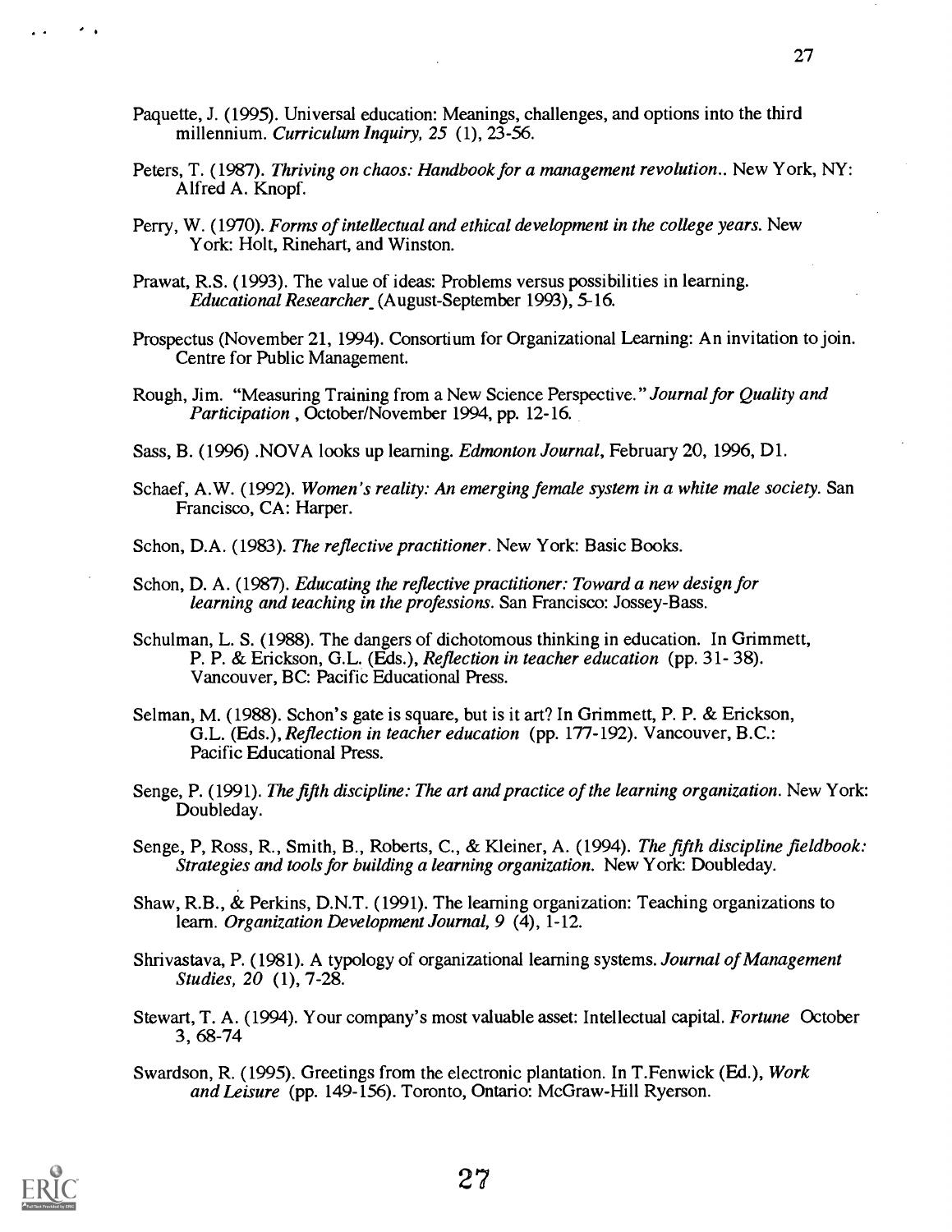- Paquette, J. (1995). Universal education: Meanings, challenges, and options into the third millennium. Curriculum Inquiry, 25 (1), 23-56.
- Peters, T. (1987). Thriving on chaos: Handbook for a management revolution.. New York, NY: Alfred A. Knopf.
- Perry, W. (1970). Forms of intellectual and ethical development in the college years. New York: Holt, Rinehart, and Winston.
- Prawat, R.S. (1993). The value of ideas: Problems versus possibilities in learning. Educational Researcher (August-September 1993), 5-16.
- Prospectus (November 21, 1994). Consortium for Organizational Learning: An invitation to join. Centre for Public Management.
- Rough, Jim. "Measuring Training from a New Science Perspective." Journal for Quality and Participation , October/November 1994, pp. 12-16.
- Sass, B. (1996) .NOVA looks up learning. Edmonton Journal, February 20, 1996, Dl.
- Schaef, A.W. (1992). Women's reality: An emerging female system in a white male society. San Francisco, CA: Harper.

Schon, D.A. (1983). The reflective practitioner. New York: Basic Books.

- Schon, D. A. (1987). Educating the reflective practitioner: Toward a new design for learning and teaching in the professions. San Francisco: Jossey-Bass.
- Schulman, L. S. (1988). The dangers of dichotomous thinking in education. In Grimmett, P. P. & Erickson, G.L. (Eds.), Reflection in teacher education (pp. 31- 38). Vancouver, BC: Pacific Educational Press.
- Selman, M. (1988). Schon's gate is square, but is it art? In Grimmett, P. P. & Erickson, G.L. (Eds.), Reflection in teacher education (pp. 177-192). Vancouver, B.C.: Pacific Educational Press.
- Senge, P. (1991). The fifth discipline: The art and practice of the learning organization. New York: Doubleday.
- Senge, P, Ross, R., Smith, B., Roberts, C., & Kleiner, A. (1994). The fifth discipline fieldbook: Strategies and tools for building a learning organization. New York: Doubleday.
- Shaw, R.B., & Perkins, D.N.T. (1991). The learning organization: Teaching organizations to learn. Organization Development Journal, 9 (4), 1-12.

Shrivastava, P. (1981). A typology of organizational learning systems. Journal of Management Studies, 20 (1), 7-28.

- Stewart, T. A. (1994). Your company's most valuable asset: Intellectual capital. Fortune October 3, 68-74
- Swardson, R. (1995). Greetings from the electronic plantation. In T.Fenwick (Ed.), Work and Leisure (pp. 149-156). Toronto, Ontario: McGraw-Hill Ryerson.

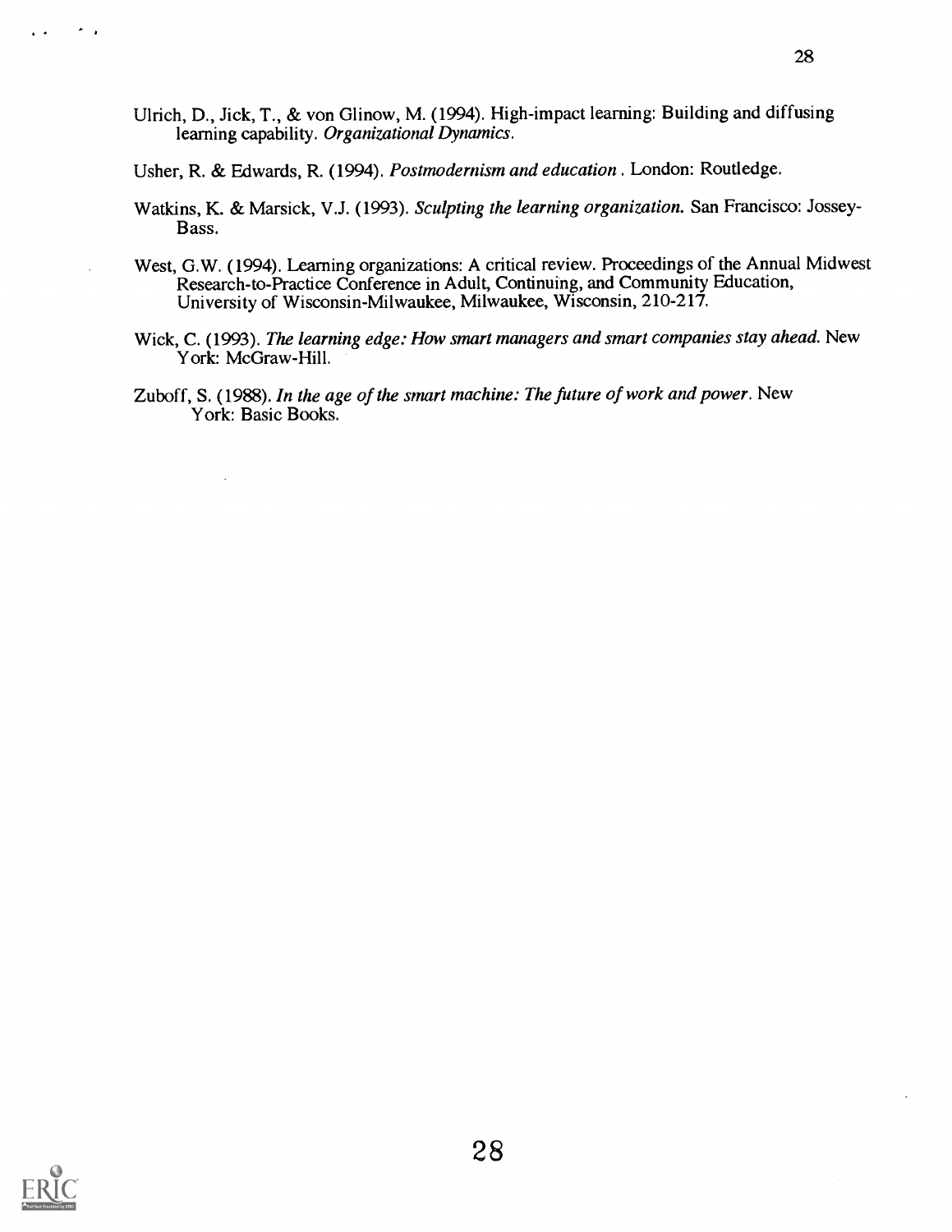Ulrich, D., Jick, T., & von Glinow, M. (1994). High-impact learning: Building and diffusing learning capability. Organizational Dynamics.

Usher, R. & Edwards, R. (1994). Postmodernism and education . London: Routledge.

- Watkins, K. & Marsick, V.J. (1993). Sculpting the learning organization. San Francisco: Jossey-Bass.
- West, G.W. (1994). Learning organizations: A critical review. Proceedings of the Annual Midwest Research-to-Practice Conference in Adult, Continuing, and Community Education, University of Wisconsin-Milwaukee, Milwaukee, Wisconsin, 210-217.
- Wick, C. (1993). The learning edge: How smart managers and smart companies stay ahead. New York: McGraw-Hill.
- Zuboff, S. (1988). In the age of the smart machine: The future of work and power. New York: Basic Books.



 $\sim$   $\,$ 

 $\mathbf{A}^{\top}$  as